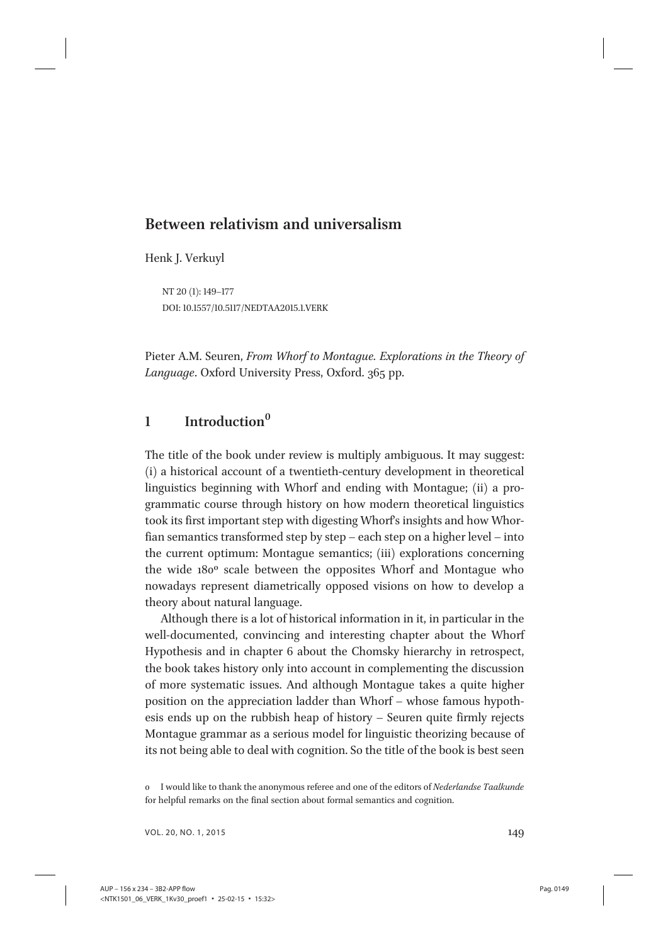# Between relativism and universalism

Henk J. Verkuyl

NT 20 (1): 149–177 DOI: 10.1557/10.5117/NEDTAA2015.1.VERK

Pieter A.M. Seuren, From Whorf to Montague. Explorations in the Theory of Language. Oxford University Press, Oxford. 365 pp.

# $1$  Introduction<sup>0</sup>

The title of the book under review is multiply ambiguous. It may suggest: (i) a historical account of a twentieth-century development in theoretical linguistics beginning with Whorf and ending with Montague; (ii) a programmatic course through history on how modern theoretical linguistics took its first important step with digesting Whorf's insights and how Whorfian semantics transformed step by step – each step on a higher level – into the current optimum: Montague semantics; (iii) explorations concerning the wide 180º scale between the opposites Whorf and Montague who nowadays represent diametrically opposed visions on how to develop a theory about natural language.

Although there is a lot of historical information in it, in particular in the well-documented, convincing and interesting chapter about the Whorf Hypothesis and in chapter 6 about the Chomsky hierarchy in retrospect, the book takes history only into account in complementing the discussion of more systematic issues. And although Montague takes a quite higher position on the appreciation ladder than Whorf – whose famous hypothesis ends up on the rubbish heap of history – Seuren quite firmly rejects Montague grammar as a serious model for linguistic theorizing because of its not being able to deal with cognition. So the title of the book is best seen

VOL. 20, NO. 1, 2015 149

<sup>0</sup> I would like to thank the anonymous referee and one of the editors of Nederlandse Taalkunde for helpful remarks on the final section about formal semantics and cognition.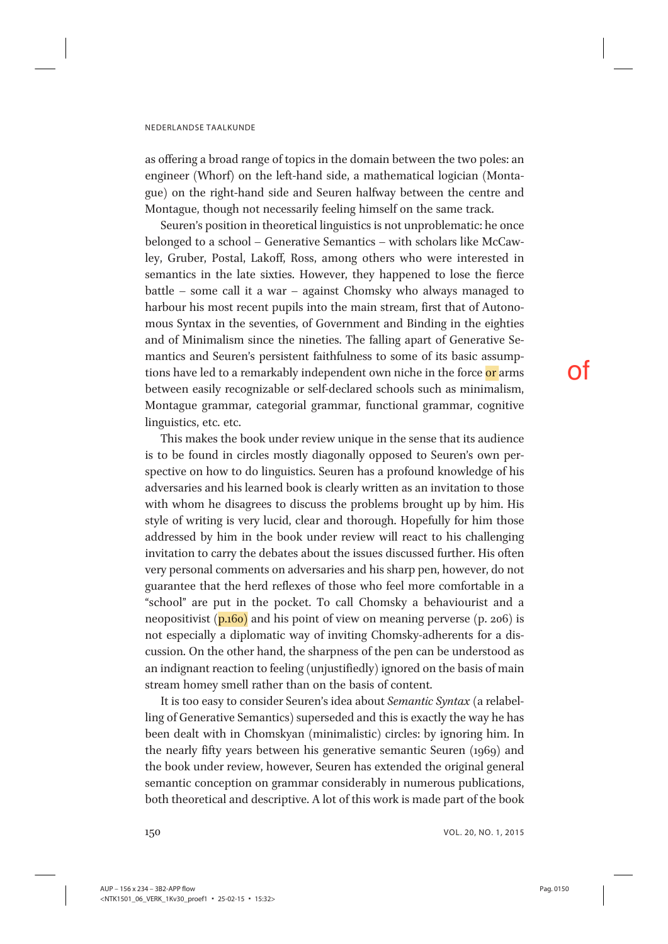as offering a broad range of topics in the domain between the two poles: an engineer (Whorf) on the left-hand side, a mathematical logician (Montague) on the right-hand side and Seuren halfway between the centre and Montague, though not necessarily feeling himself on the same track.

Seuren's position in theoretical linguistics is not unproblematic: he once belonged to a school – Generative Semantics – with scholars like McCawley, Gruber, Postal, Lakoff, Ross, among others who were interested in semantics in the late sixties. However, they happened to lose the fierce battle – some call it a war – against Chomsky who always managed to harbour his most recent pupils into the main stream, first that of Autonomous Syntax in the seventies, of Government and Binding in the eighties and of Minimalism since the nineties. The falling apart of Generative Semantics and Seuren's persistent faithfulness to some of its basic assumptions have led to a remarkably independent own niche in the force or arms between easily recognizable or self-declared schools such as minimalism, Montague grammar, categorial grammar, functional grammar, cognitive linguistics, etc. etc.

This makes the book under review unique in the sense that its audience is to be found in circles mostly diagonally opposed to Seuren's own perspective on how to do linguistics. Seuren has a profound knowledge of his adversaries and his learned book is clearly written as an invitation to those with whom he disagrees to discuss the problems brought up by him. His style of writing is very lucid, clear and thorough. Hopefully for him those addressed by him in the book under review will react to his challenging invitation to carry the debates about the issues discussed further. His often very personal comments on adversaries and his sharp pen, however, do not guarantee that the herd reflexes of those who feel more comfortable in a "school" are put in the pocket. To call Chomsky a behaviourist and a neopositivist  $(p, 160)$  and his point of view on meaning perverse  $(p, 206)$  is not especially a diplomatic way of inviting Chomsky-adherents for a discussion. On the other hand, the sharpness of the pen can be understood as an indignant reaction to feeling (unjustifiedly) ignored on the basis of main stream homey smell rather than on the basis of content.

It is too easy to consider Seuren's idea about Semantic Syntax (a relabelling of Generative Semantics) superseded and this is exactly the way he has been dealt with in Chomskyan (minimalistic) circles: by ignoring him. In the nearly fifty years between his generative semantic Seuren (1969) and the book under review, however, Seuren has extended the original general semantic conception on grammar considerably in numerous publications, both theoretical and descriptive. A lot of this work is made part of the book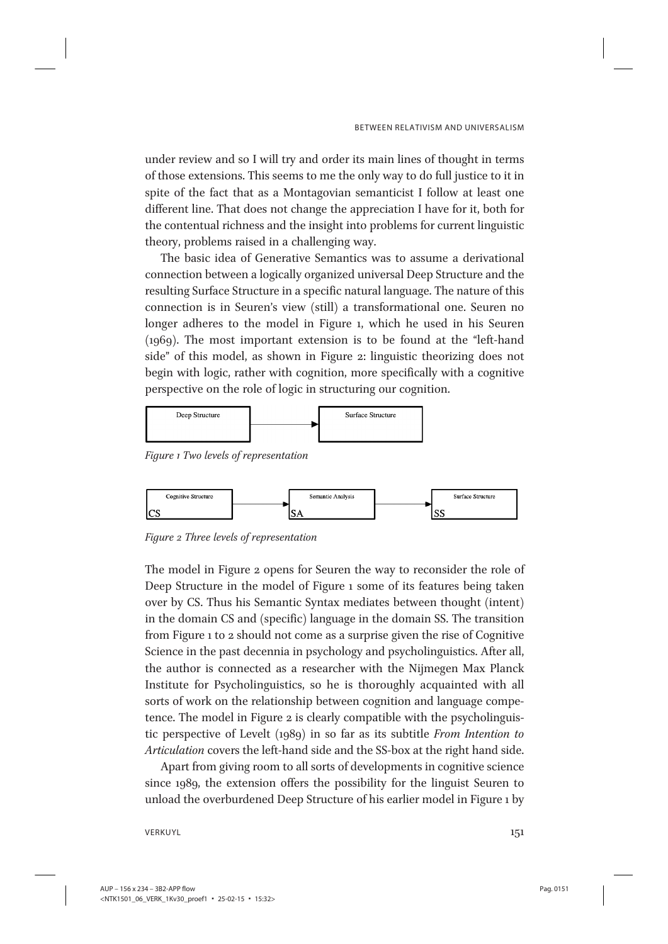under review and so I will try and order its main lines of thought in terms of those extensions. This seems to me the only way to do full justice to it in spite of the fact that as a Montagovian semanticist I follow at least one different line. That does not change the appreciation I have for it, both for the contentual richness and the insight into problems for current linguistic theory, problems raised in a challenging way.

The basic idea of Generative Semantics was to assume a derivational connection between a logically organized universal Deep Structure and the resulting Surface Structure in a specific natural language. The nature of this connection is in Seuren's view (still) a transformational one. Seuren no longer adheres to the model in Figure 1, which he used in his Seuren (1969). The most important extension is to be found at the "left-hand side" of this model, as shown in Figure 2: linguistic theorizing does not begin with logic, rather with cognition, more specifically with a cognitive perspective on the role of logic in structuring our cognition.



Figure 1 Two levels of representation



Figure 2 Three levels of representation

The model in Figure 2 opens for Seuren the way to reconsider the role of Deep Structure in the model of Figure 1 some of its features being taken over by CS. Thus his Semantic Syntax mediates between thought (intent) in the domain CS and (specific) language in the domain SS. The transition from Figure 1 to 2 should not come as a surprise given the rise of Cognitive Science in the past decennia in psychology and psycholinguistics. After all, the author is connected as a researcher with the Nijmegen Max Planck Institute for Psycholinguistics, so he is thoroughly acquainted with all sorts of work on the relationship between cognition and language competence. The model in Figure 2 is clearly compatible with the psycholinguistic perspective of Levelt (1989) in so far as its subtitle From Intention to Articulation covers the left-hand side and the SS-box at the right hand side.

Apart from giving room to all sorts of developments in cognitive science since 1989, the extension offers the possibility for the linguist Seuren to unload the overburdened Deep Structure of his earlier model in Figure 1 by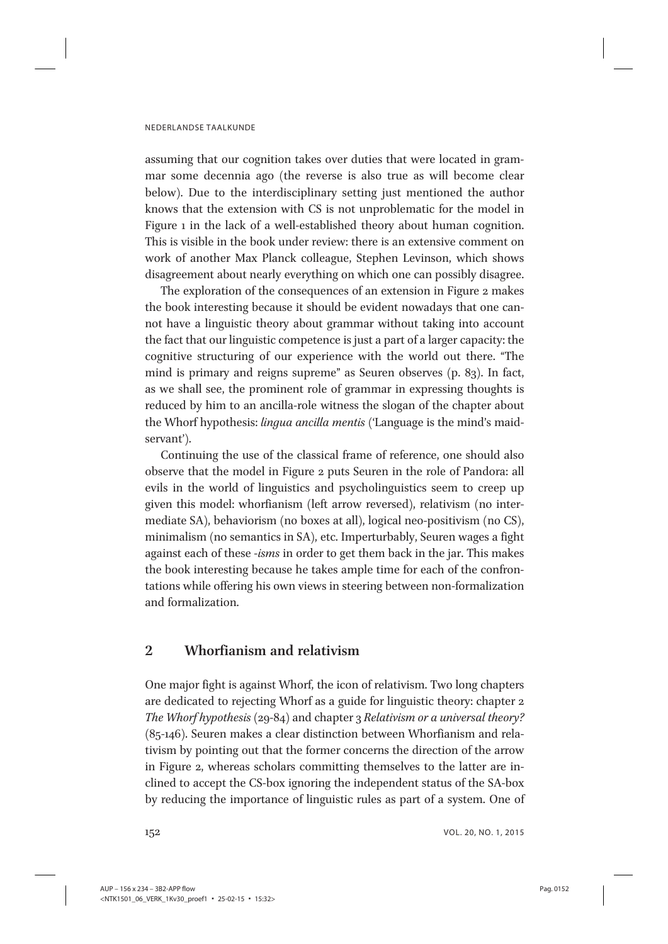assuming that our cognition takes over duties that were located in grammar some decennia ago (the reverse is also true as will become clear below). Due to the interdisciplinary setting just mentioned the author knows that the extension with CS is not unproblematic for the model in Figure 1 in the lack of a well-established theory about human cognition. This is visible in the book under review: there is an extensive comment on work of another Max Planck colleague, Stephen Levinson, which shows disagreement about nearly everything on which one can possibly disagree.

The exploration of the consequences of an extension in Figure 2 makes the book interesting because it should be evident nowadays that one cannot have a linguistic theory about grammar without taking into account the fact that our linguistic competence is just a part of a larger capacity: the cognitive structuring of our experience with the world out there. "The mind is primary and reigns supreme" as Seuren observes (p. 83). In fact, as we shall see, the prominent role of grammar in expressing thoughts is reduced by him to an ancilla-role witness the slogan of the chapter about the Whorf hypothesis: lingua ancilla mentis ('Language is the mind's maidservant').

Continuing the use of the classical frame of reference, one should also observe that the model in Figure 2 puts Seuren in the role of Pandora: all evils in the world of linguistics and psycholinguistics seem to creep up given this model: whorfianism (left arrow reversed), relativism (no intermediate SA), behaviorism (no boxes at all), logical neo-positivism (no CS), minimalism (no semantics in SA), etc. Imperturbably, Seuren wages a fight against each of these -isms in order to get them back in the jar. This makes the book interesting because he takes ample time for each of the confrontations while offering his own views in steering between non-formalization and formalization.

# 2 Whorfianism and relativism

One major fight is against Whorf, the icon of relativism. Two long chapters are dedicated to rejecting Whorf as a guide for linguistic theory: chapter 2 The Whorf hypothesis (29-84) and chapter 3 Relativism or a universal theory? (85-146). Seuren makes a clear distinction between Whorfianism and relativism by pointing out that the former concerns the direction of the arrow in Figure 2, whereas scholars committing themselves to the latter are inclined to accept the CS-box ignoring the independent status of the SA-box by reducing the importance of linguistic rules as part of a system. One of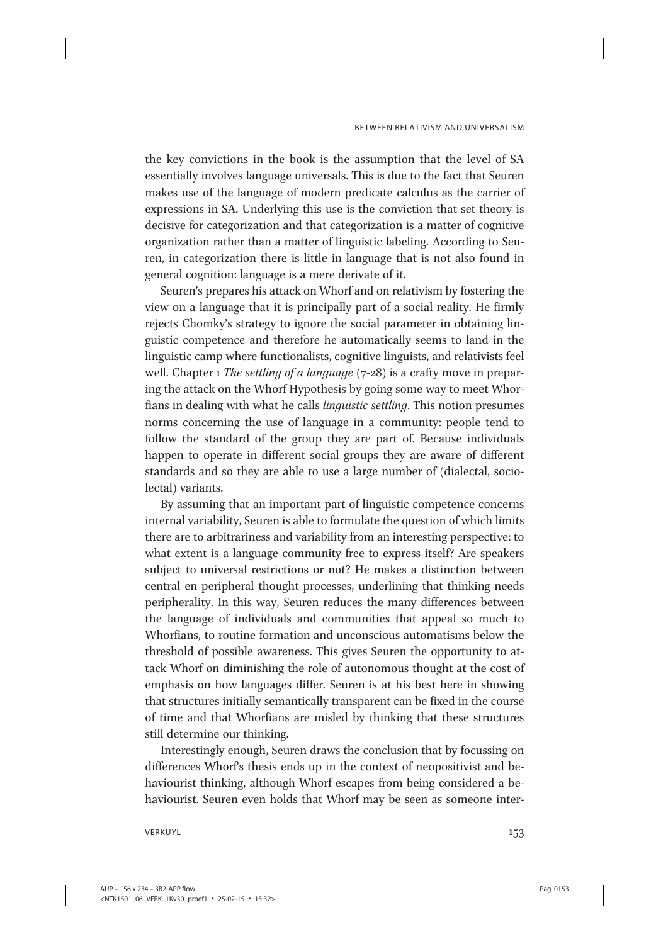the key convictions in the book is the assumption that the level of SA essentially involves language universals. This is due to the fact that Seuren makes use of the language of modern predicate calculus as the carrier of expressions in SA. Underlying this use is the conviction that set theory is decisive for categorization and that categorization is a matter of cognitive organization rather than a matter of linguistic labeling. According to Seuren, in categorization there is little in language that is not also found in general cognition: language is a mere derivate of it.

Seuren's prepares his attack on Whorf and on relativism by fostering the view on a language that it is principally part of a social reality. He firmly rejects Chomky's strategy to ignore the social parameter in obtaining linguistic competence and therefore he automatically seems to land in the linguistic camp where functionalists, cognitive linguists, and relativists feel well. Chapter 1 The settling of a language  $(7-28)$  is a crafty move in preparing the attack on the Whorf Hypothesis by going some way to meet Whorfians in dealing with what he calls linguistic settling. This notion presumes norms concerning the use of language in a community: people tend to follow the standard of the group they are part of. Because individuals happen to operate in different social groups they are aware of different standards and so they are able to use a large number of (dialectal, sociolectal) variants.

By assuming that an important part of linguistic competence concerns internal variability, Seuren is able to formulate the question of which limits there are to arbitrariness and variability from an interesting perspective: to what extent is a language community free to express itself? Are speakers subject to universal restrictions or not? He makes a distinction between central en peripheral thought processes, underlining that thinking needs peripherality. In this way, Seuren reduces the many differences between the language of individuals and communities that appeal so much to Whorfians, to routine formation and unconscious automatisms below the threshold of possible awareness. This gives Seuren the opportunity to attack Whorf on diminishing the role of autonomous thought at the cost of emphasis on how languages differ. Seuren is at his best here in showing that structures initially semantically transparent can be fixed in the course of time and that Whorfians are misled by thinking that these structures still determine our thinking.

Interestingly enough, Seuren draws the conclusion that by focussing on differences Whorf's thesis ends up in the context of neopositivist and behaviourist thinking, although Whorf escapes from being considered a behaviourist. Seuren even holds that Whorf may be seen as someone inter-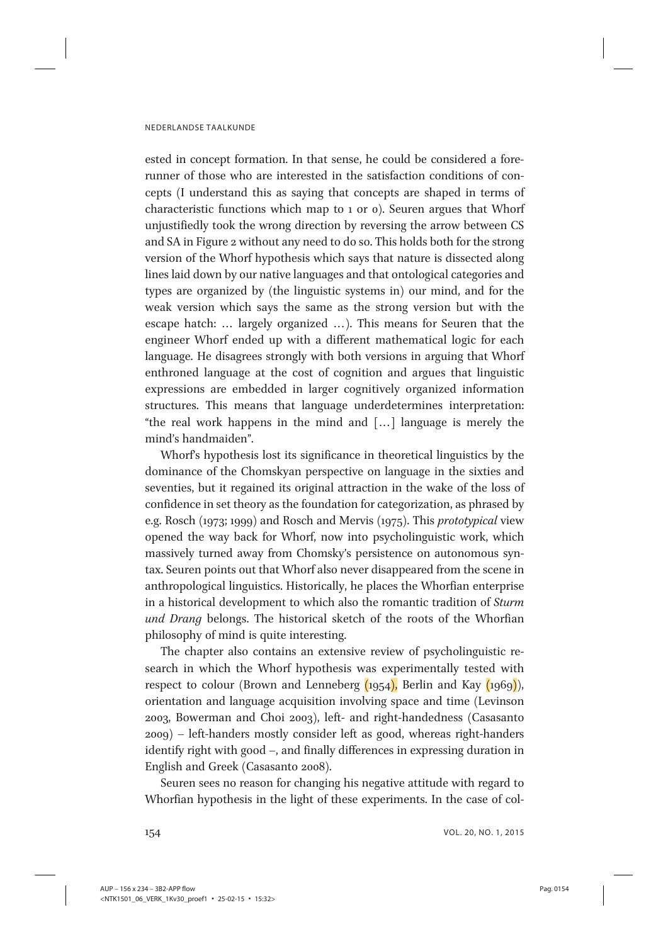ested in concept formation. In that sense, he could be considered a forerunner of those who are interested in the satisfaction conditions of concepts (I understand this as saying that concepts are shaped in terms of characteristic functions which map to 1 or 0). Seuren argues that Whorf unjustifiedly took the wrong direction by reversing the arrow between CS and SA in Figure 2 without any need to do so. This holds both for the strong version of the Whorf hypothesis which says that nature is dissected along lines laid down by our native languages and that ontological categories and types are organized by (the linguistic systems in) our mind, and for the weak version which says the same as the strong version but with the escape hatch: ... largely organized ...). This means for Seuren that the engineer Whorf ended up with a different mathematical logic for each language. He disagrees strongly with both versions in arguing that Whorf enthroned language at the cost of cognition and argues that linguistic expressions are embedded in larger cognitively organized information structures. This means that language underdetermines interpretation: "the real work happens in the mind and [... ] language is merely the mind's handmaiden".

Whorf's hypothesis lost its significance in theoretical linguistics by the dominance of the Chomskyan perspective on language in the sixties and seventies, but it regained its original attraction in the wake of the loss of confidence in set theory as the foundation for categorization, as phrased by e.g. Rosch (1973; 1999) and Rosch and Mervis (1975). This prototypical view opened the way back for Whorf, now into psycholinguistic work, which massively turned away from Chomsky's persistence on autonomous syntax. Seuren points out that Whorf also never disappeared from the scene in anthropological linguistics. Historically, he places the Whorfian enterprise in a historical development to which also the romantic tradition of Sturm und Drang belongs. The historical sketch of the roots of the Whorfian philosophy of mind is quite interesting.

The chapter also contains an extensive review of psycholinguistic research in which the Whorf hypothesis was experimentally tested with respect to colour (Brown and Lenneberg  $(1954)$ , Berlin and Kay  $(1969)$ ), orientation and language acquisition involving space and time (Levinson 2003, Bowerman and Choi 2003), left- and right-handedness (Casasanto 2009) – left-handers mostly consider left as good, whereas right-handers identify right with good –, and finally differences in expressing duration in English and Greek (Casasanto 2008).

Seuren sees no reason for changing his negative attitude with regard to Whorfian hypothesis in the light of these experiments. In the case of col-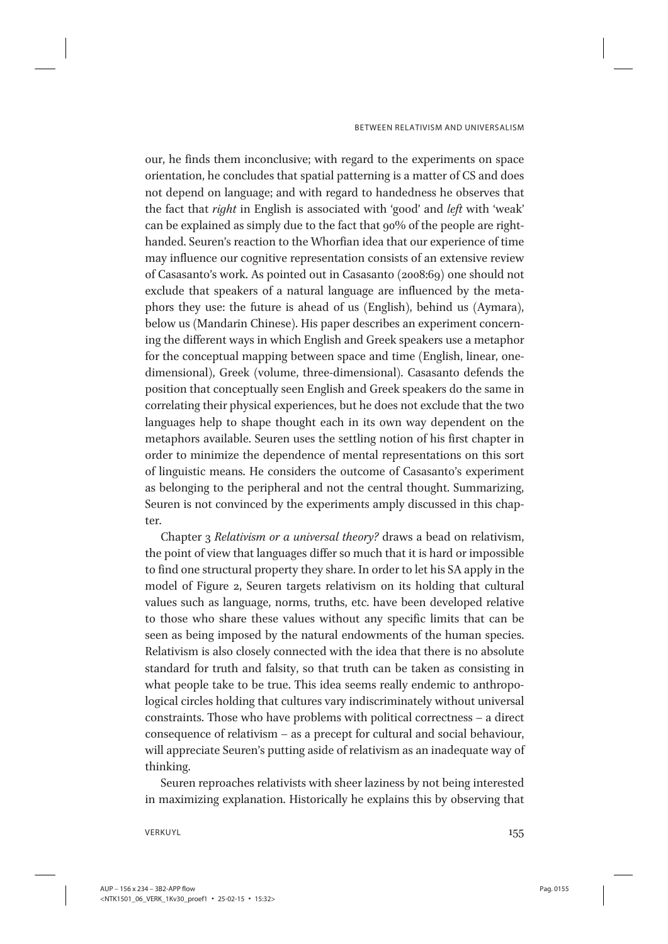our, he finds them inconclusive; with regard to the experiments on space orientation, he concludes that spatial patterning is a matter of CS and does not depend on language; and with regard to handedness he observes that the fact that right in English is associated with 'good' and left with 'weak' can be explained as simply due to the fact that 90% of the people are righthanded. Seuren's reaction to the Whorfian idea that our experience of time may influence our cognitive representation consists of an extensive review of Casasanto's work. As pointed out in Casasanto (2008:69) one should not exclude that speakers of a natural language are influenced by the metaphors they use: the future is ahead of us (English), behind us (Aymara), below us (Mandarin Chinese). His paper describes an experiment concerning the different ways in which English and Greek speakers use a metaphor for the conceptual mapping between space and time (English, linear, onedimensional), Greek (volume, three-dimensional). Casasanto defends the position that conceptually seen English and Greek speakers do the same in correlating their physical experiences, but he does not exclude that the two languages help to shape thought each in its own way dependent on the metaphors available. Seuren uses the settling notion of his first chapter in order to minimize the dependence of mental representations on this sort of linguistic means. He considers the outcome of Casasanto's experiment as belonging to the peripheral and not the central thought. Summarizing, Seuren is not convinced by the experiments amply discussed in this chapter.

Chapter 3 Relativism or a universal theory? draws a bead on relativism, the point of view that languages differ so much that it is hard or impossible to find one structural property they share. In order to let his SA apply in the model of Figure 2, Seuren targets relativism on its holding that cultural values such as language, norms, truths, etc. have been developed relative to those who share these values without any specific limits that can be seen as being imposed by the natural endowments of the human species. Relativism is also closely connected with the idea that there is no absolute standard for truth and falsity, so that truth can be taken as consisting in what people take to be true. This idea seems really endemic to anthropological circles holding that cultures vary indiscriminately without universal constraints. Those who have problems with political correctness – a direct consequence of relativism – as a precept for cultural and social behaviour, will appreciate Seuren's putting aside of relativism as an inadequate way of thinking.

Seuren reproaches relativists with sheer laziness by not being interested in maximizing explanation. Historically he explains this by observing that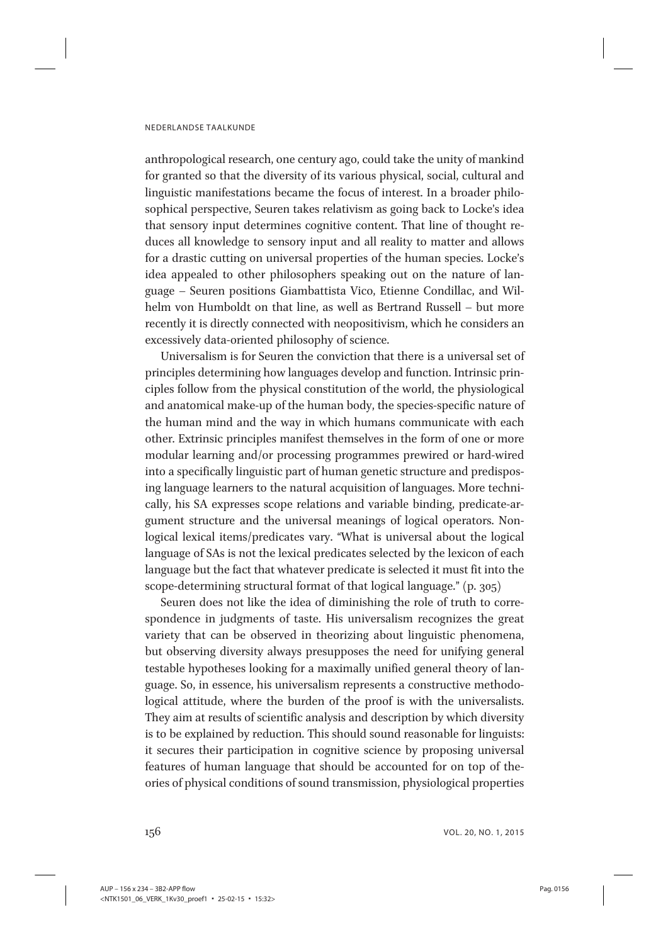anthropological research, one century ago, could take the unity of mankind for granted so that the diversity of its various physical, social, cultural and linguistic manifestations became the focus of interest. In a broader philosophical perspective, Seuren takes relativism as going back to Locke's idea that sensory input determines cognitive content. That line of thought reduces all knowledge to sensory input and all reality to matter and allows for a drastic cutting on universal properties of the human species. Locke's idea appealed to other philosophers speaking out on the nature of language – Seuren positions Giambattista Vico, Etienne Condillac, and Wilhelm von Humboldt on that line, as well as Bertrand Russell – but more recently it is directly connected with neopositivism, which he considers an excessively data-oriented philosophy of science.

Universalism is for Seuren the conviction that there is a universal set of principles determining how languages develop and function. Intrinsic principles follow from the physical constitution of the world, the physiological and anatomical make-up of the human body, the species-specific nature of the human mind and the way in which humans communicate with each other. Extrinsic principles manifest themselves in the form of one or more modular learning and/or processing programmes prewired or hard-wired into a specifically linguistic part of human genetic structure and predisposing language learners to the natural acquisition of languages. More technically, his SA expresses scope relations and variable binding, predicate-argument structure and the universal meanings of logical operators. Nonlogical lexical items/predicates vary. "What is universal about the logical language of SAs is not the lexical predicates selected by the lexicon of each language but the fact that whatever predicate is selected it must fit into the scope-determining structural format of that logical language." (p. 305)

Seuren does not like the idea of diminishing the role of truth to correspondence in judgments of taste. His universalism recognizes the great variety that can be observed in theorizing about linguistic phenomena, but observing diversity always presupposes the need for unifying general testable hypotheses looking for a maximally unified general theory of language. So, in essence, his universalism represents a constructive methodological attitude, where the burden of the proof is with the universalists. They aim at results of scientific analysis and description by which diversity is to be explained by reduction. This should sound reasonable for linguists: it secures their participation in cognitive science by proposing universal features of human language that should be accounted for on top of theories of physical conditions of sound transmission, physiological properties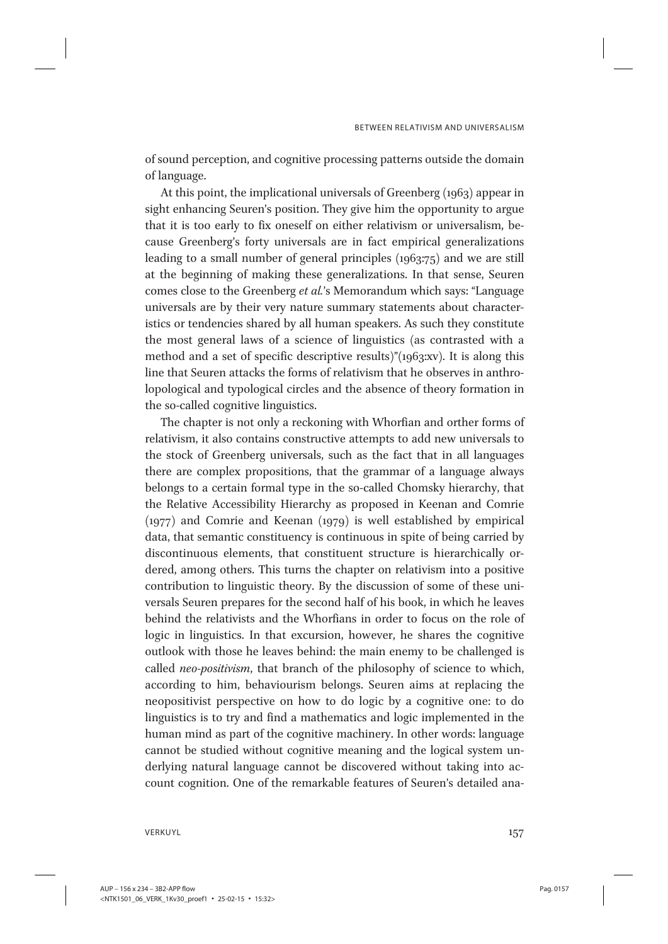of sound perception, and cognitive processing patterns outside the domain of language.

At this point, the implicational universals of Greenberg (1963) appear in sight enhancing Seuren's position. They give him the opportunity to argue that it is too early to fix oneself on either relativism or universalism, because Greenberg's forty universals are in fact empirical generalizations leading to a small number of general principles (1963:75) and we are still at the beginning of making these generalizations. In that sense, Seuren comes close to the Greenberg et al.'s Memorandum which says: "Language universals are by their very nature summary statements about characteristics or tendencies shared by all human speakers. As such they constitute the most general laws of a science of linguistics (as contrasted with a method and a set of specific descriptive results)"(1963:xv). It is along this line that Seuren attacks the forms of relativism that he observes in anthrolopological and typological circles and the absence of theory formation in the so-called cognitive linguistics.

The chapter is not only a reckoning with Whorfian and orther forms of relativism, it also contains constructive attempts to add new universals to the stock of Greenberg universals, such as the fact that in all languages there are complex propositions, that the grammar of a language always belongs to a certain formal type in the so-called Chomsky hierarchy, that the Relative Accessibility Hierarchy as proposed in Keenan and Comrie (1977) and Comrie and Keenan (1979) is well established by empirical data, that semantic constituency is continuous in spite of being carried by discontinuous elements, that constituent structure is hierarchically ordered, among others. This turns the chapter on relativism into a positive contribution to linguistic theory. By the discussion of some of these universals Seuren prepares for the second half of his book, in which he leaves behind the relativists and the Whorfians in order to focus on the role of logic in linguistics. In that excursion, however, he shares the cognitive outlook with those he leaves behind: the main enemy to be challenged is called neo-positivism, that branch of the philosophy of science to which, according to him, behaviourism belongs. Seuren aims at replacing the neopositivist perspective on how to do logic by a cognitive one: to do linguistics is to try and find a mathematics and logic implemented in the human mind as part of the cognitive machinery. In other words: language cannot be studied without cognitive meaning and the logical system underlying natural language cannot be discovered without taking into account cognition. One of the remarkable features of Seuren's detailed ana-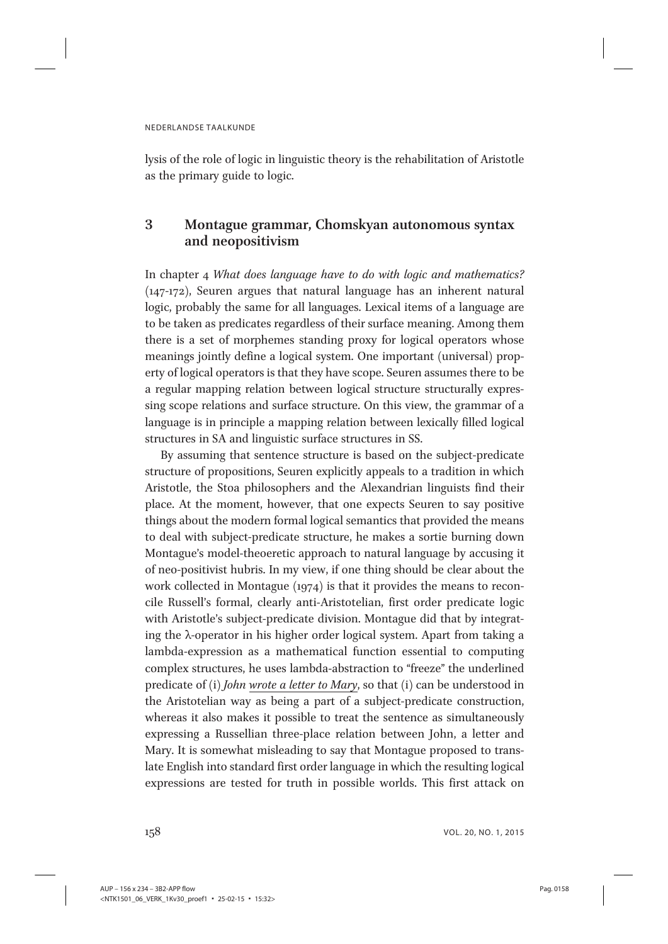lysis of the role of logic in linguistic theory is the rehabilitation of Aristotle as the primary guide to logic.

# 3 Montague grammar, Chomskyan autonomous syntax and neopositivism

In chapter 4 What does language have to do with logic and mathematics? (147-172), Seuren argues that natural language has an inherent natural logic, probably the same for all languages. Lexical items of a language are to be taken as predicates regardless of their surface meaning. Among them there is a set of morphemes standing proxy for logical operators whose meanings jointly define a logical system. One important (universal) property of logical operators is that they have scope. Seuren assumes there to be a regular mapping relation between logical structure structurally expressing scope relations and surface structure. On this view, the grammar of a language is in principle a mapping relation between lexically filled logical structures in SA and linguistic surface structures in SS.

By assuming that sentence structure is based on the subject-predicate structure of propositions, Seuren explicitly appeals to a tradition in which Aristotle, the Stoa philosophers and the Alexandrian linguists find their place. At the moment, however, that one expects Seuren to say positive things about the modern formal logical semantics that provided the means to deal with subject-predicate structure, he makes a sortie burning down Montague's model-theoeretic approach to natural language by accusing it of neo-positivist hubris. In my view, if one thing should be clear about the work collected in Montague (1974) is that it provides the means to reconcile Russell's formal, clearly anti-Aristotelian, first order predicate logic with Aristotle's subject-predicate division. Montague did that by integrating the λ-operator in his higher order logical system. Apart from taking a lambda-expression as a mathematical function essential to computing complex structures, he uses lambda-abstraction to "freeze" the underlined predicate of (i) John wrote a letter to Mary, so that (i) can be understood in the Aristotelian way as being a part of a subject-predicate construction, whereas it also makes it possible to treat the sentence as simultaneously expressing a Russellian three-place relation between John, a letter and Mary. It is somewhat misleading to say that Montague proposed to translate English into standard first order language in which the resulting logical expressions are tested for truth in possible worlds. This first attack on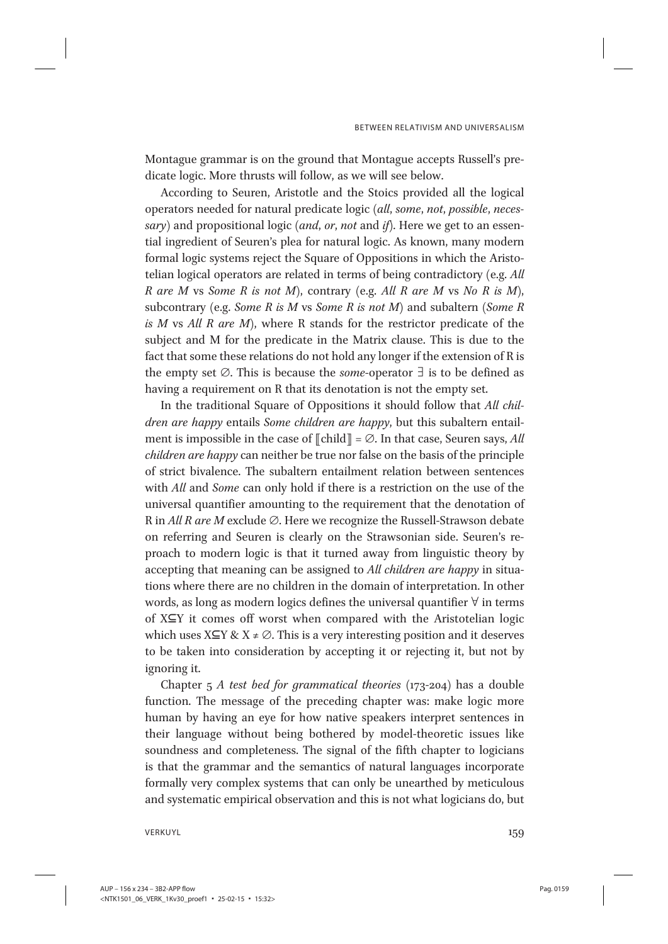Montague grammar is on the ground that Montague accepts Russell's predicate logic. More thrusts will follow, as we will see below.

According to Seuren, Aristotle and the Stoics provided all the logical operators needed for natural predicate logic (all, some, not, possible, necessary) and propositional logic (and, or, not and if). Here we get to an essential ingredient of Seuren's plea for natural logic. As known, many modern formal logic systems reject the Square of Oppositions in which the Aristotelian logical operators are related in terms of being contradictory (e.g. All R are M vs Some R is not M), contrary (e.g. All R are M vs No R is M), subcontrary (e.g. Some R is M vs Some R is not M) and subaltern (Some R is  $M$  vs All  $R$  are  $M$ ), where  $R$  stands for the restrictor predicate of the subject and M for the predicate in the Matrix clause. This is due to the fact that some these relations do not hold any longer if the extension of R is the empty set  $Ø$ . This is because the *some*-operator  $∃$  is to be defined as having a requirement on R that its denotation is not the empty set.

In the traditional Square of Oppositions it should follow that All children are happy entails Some children are happy, but this subaltern entailment is impossible in the case of  $\llbracket \text{child} \rrbracket = \varnothing$ . In that case, Seuren says, All children are happy can neither be true nor false on the basis of the principle of strict bivalence. The subaltern entailment relation between sentences with All and Some can only hold if there is a restriction on the use of the universal quantifier amounting to the requirement that the denotation of R in All R are M exclude ∅. Here we recognize the Russell-Strawson debate on referring and Seuren is clearly on the Strawsonian side. Seuren's reproach to modern logic is that it turned away from linguistic theory by accepting that meaning can be assigned to All children are happy in situations where there are no children in the domain of interpretation. In other words, as long as modern logics defines the universal quantifier ∀ in terms of X⊆Y it comes off worst when compared with the Aristotelian logic which uses  $X \subseteq Y \& X \neq \emptyset$ . This is a very interesting position and it deserves to be taken into consideration by accepting it or rejecting it, but not by ignoring it.

Chapter  $5$  A test bed for grammatical theories (173-204) has a double function. The message of the preceding chapter was: make logic more human by having an eye for how native speakers interpret sentences in their language without being bothered by model-theoretic issues like soundness and completeness. The signal of the fifth chapter to logicians is that the grammar and the semantics of natural languages incorporate formally very complex systems that can only be unearthed by meticulous and systematic empirical observation and this is not what logicians do, but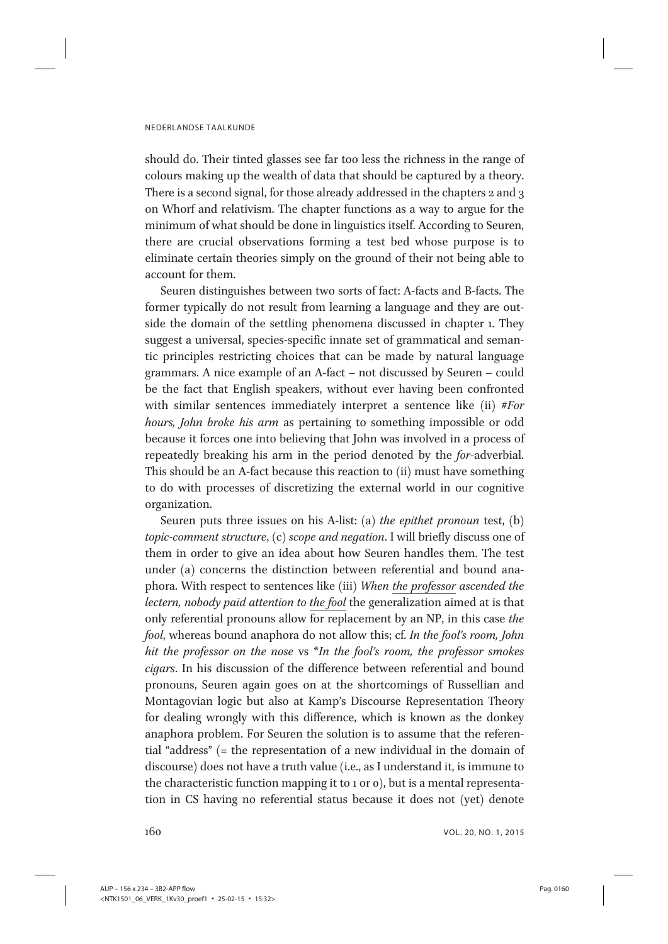should do. Their tinted glasses see far too less the richness in the range of colours making up the wealth of data that should be captured by a theory. There is a second signal, for those already addressed in the chapters 2 and 3 on Whorf and relativism. The chapter functions as a way to argue for the minimum of what should be done in linguistics itself. According to Seuren, there are crucial observations forming a test bed whose purpose is to eliminate certain theories simply on the ground of their not being able to account for them.

Seuren distinguishes between two sorts of fact: A-facts and B-facts. The former typically do not result from learning a language and they are outside the domain of the settling phenomena discussed in chapter 1. They suggest a universal, species-specific innate set of grammatical and semantic principles restricting choices that can be made by natural language grammars. A nice example of an A-fact – not discussed by Seuren – could be the fact that English speakers, without ever having been confronted with similar sentences immediately interpret a sentence like (ii) #For hours, John broke his arm as pertaining to something impossible or odd because it forces one into believing that John was involved in a process of repeatedly breaking his arm in the period denoted by the for-adverbial. This should be an A-fact because this reaction to (ii) must have something to do with processes of discretizing the external world in our cognitive organization.

Seuren puts three issues on his A-list: (a) the epithet pronoun test, (b) topic-comment structure, (c) scope and negation. I will briefly discuss one of them in order to give an idea about how Seuren handles them. The test under (a) concerns the distinction between referential and bound anaphora. With respect to sentences like (iii) When the professor ascended the lectern, nobody paid attention to the fool the generalization aimed at is that only referential pronouns allow for replacement by an NP, in this case the fool, whereas bound anaphora do not allow this; cf. In the fool's room, John hit the professor on the nose vs \*In the fool's room, the professor smokes cigars. In his discussion of the difference between referential and bound pronouns, Seuren again goes on at the shortcomings of Russellian and Montagovian logic but also at Kamp's Discourse Representation Theory for dealing wrongly with this difference, which is known as the donkey anaphora problem. For Seuren the solution is to assume that the referential "address" (= the representation of a new individual in the domain of discourse) does not have a truth value (i.e., as I understand it, is immune to the characteristic function mapping it to 1 or 0), but is a mental representation in CS having no referential status because it does not (yet) denote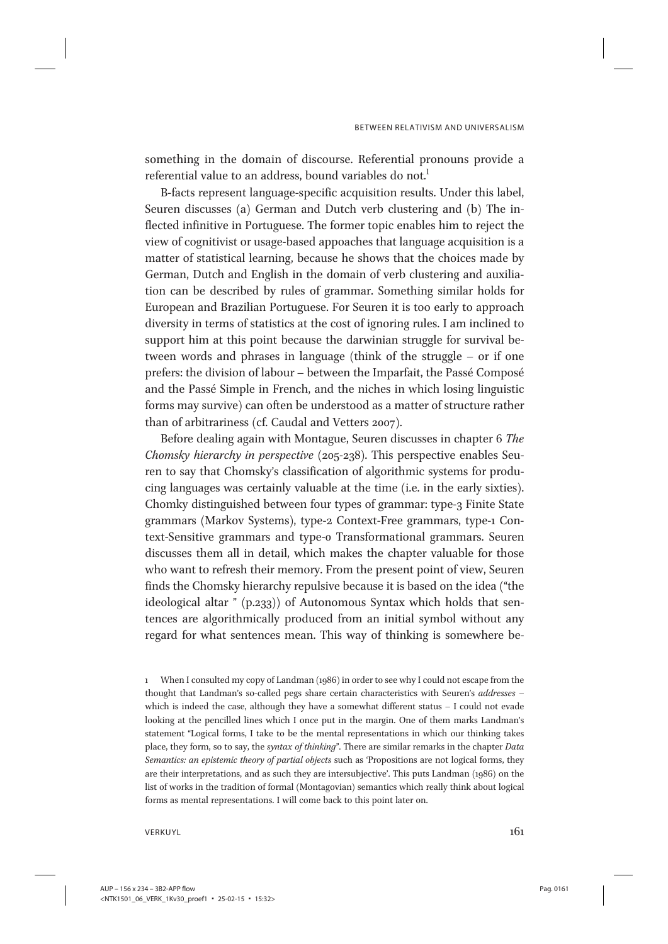something in the domain of discourse. Referential pronouns provide a referential value to an address, bound variables do not.<sup>1</sup>

B-facts represent language-specific acquisition results. Under this label, Seuren discusses (a) German and Dutch verb clustering and (b) The inflected infinitive in Portuguese. The former topic enables him to reject the view of cognitivist or usage-based appoaches that language acquisition is a matter of statistical learning, because he shows that the choices made by German, Dutch and English in the domain of verb clustering and auxiliation can be described by rules of grammar. Something similar holds for European and Brazilian Portuguese. For Seuren it is too early to approach diversity in terms of statistics at the cost of ignoring rules. I am inclined to support him at this point because the darwinian struggle for survival between words and phrases in language (think of the struggle – or if one prefers: the division of labour – between the Imparfait, the Passé Composé and the Passé Simple in French, and the niches in which losing linguistic forms may survive) can often be understood as a matter of structure rather than of arbitrariness (cf. Caudal and Vetters 2007).

Before dealing again with Montague, Seuren discusses in chapter 6 The Chomsky hierarchy in perspective (205-238). This perspective enables Seuren to say that Chomsky's classification of algorithmic systems for producing languages was certainly valuable at the time (i.e. in the early sixties). Chomky distinguished between four types of grammar: type-3 Finite State grammars (Markov Systems), type-2 Context-Free grammars, type-1 Context-Sensitive grammars and type-0 Transformational grammars. Seuren discusses them all in detail, which makes the chapter valuable for those who want to refresh their memory. From the present point of view, Seuren finds the Chomsky hierarchy repulsive because it is based on the idea ("the ideological altar " (p.233)) of Autonomous Syntax which holds that sentences are algorithmically produced from an initial symbol without any regard for what sentences mean. This way of thinking is somewhere be-

1 When I consulted my copy of Landman (1986) in order to see why I could not escape from the thought that Landman's so-called pegs share certain characteristics with Seuren's addresses – which is indeed the case, although they have a somewhat different status – I could not evade looking at the pencilled lines which I once put in the margin. One of them marks Landman's statement "Logical forms, I take to be the mental representations in which our thinking takes place, they form, so to say, the syntax of thinking". There are similar remarks in the chapter Data Semantics: an epistemic theory of partial objects such as 'Propositions are not logical forms, they are their interpretations, and as such they are intersubjective'. This puts Landman (1986) on the list of works in the tradition of formal (Montagovian) semantics which really think about logical forms as mental representations. I will come back to this point later on.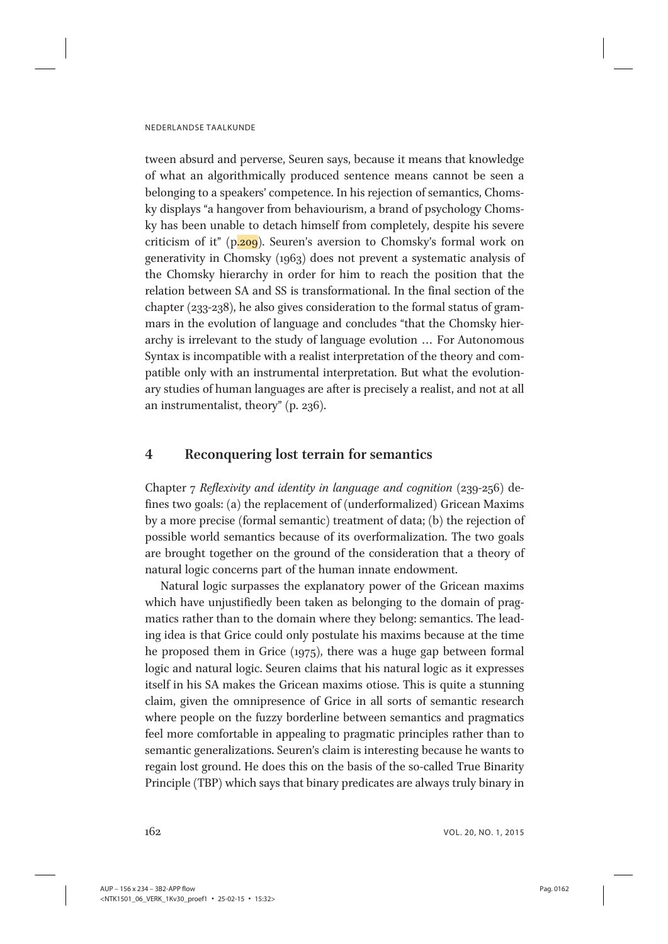tween absurd and perverse, Seuren says, because it means that knowledge of what an algorithmically produced sentence means cannot be seen a belonging to a speakers' competence. In his rejection of semantics, Chomsky displays "a hangover from behaviourism, a brand of psychology Chomsky has been unable to detach himself from completely, despite his severe criticism of it" (p.209). Seuren's aversion to Chomsky's formal work on generativity in Chomsky (1963) does not prevent a systematic analysis of the Chomsky hierarchy in order for him to reach the position that the relation between SA and SS is transformational. In the final section of the chapter (233-238), he also gives consideration to the formal status of grammars in the evolution of language and concludes "that the Chomsky hierarchy is irrelevant to the study of language evolution ... For Autonomous Syntax is incompatible with a realist interpretation of the theory and compatible only with an instrumental interpretation. But what the evolutionary studies of human languages are after is precisely a realist, and not at all an instrumentalist, theory" (p. 236).

# 4 Reconquering lost terrain for semantics

Chapter 7 Reflexivity and identity in language and cognition (239-256) defines two goals: (a) the replacement of (underformalized) Gricean Maxims by a more precise (formal semantic) treatment of data; (b) the rejection of possible world semantics because of its overformalization. The two goals are brought together on the ground of the consideration that a theory of natural logic concerns part of the human innate endowment.

Natural logic surpasses the explanatory power of the Gricean maxims which have unjustifiedly been taken as belonging to the domain of pragmatics rather than to the domain where they belong: semantics. The leading idea is that Grice could only postulate his maxims because at the time he proposed them in Grice (1975), there was a huge gap between formal logic and natural logic. Seuren claims that his natural logic as it expresses itself in his SA makes the Gricean maxims otiose. This is quite a stunning claim, given the omnipresence of Grice in all sorts of semantic research where people on the fuzzy borderline between semantics and pragmatics feel more comfortable in appealing to pragmatic principles rather than to semantic generalizations. Seuren's claim is interesting because he wants to regain lost ground. He does this on the basis of the so-called True Binarity Principle (TBP) which says that binary predicates are always truly binary in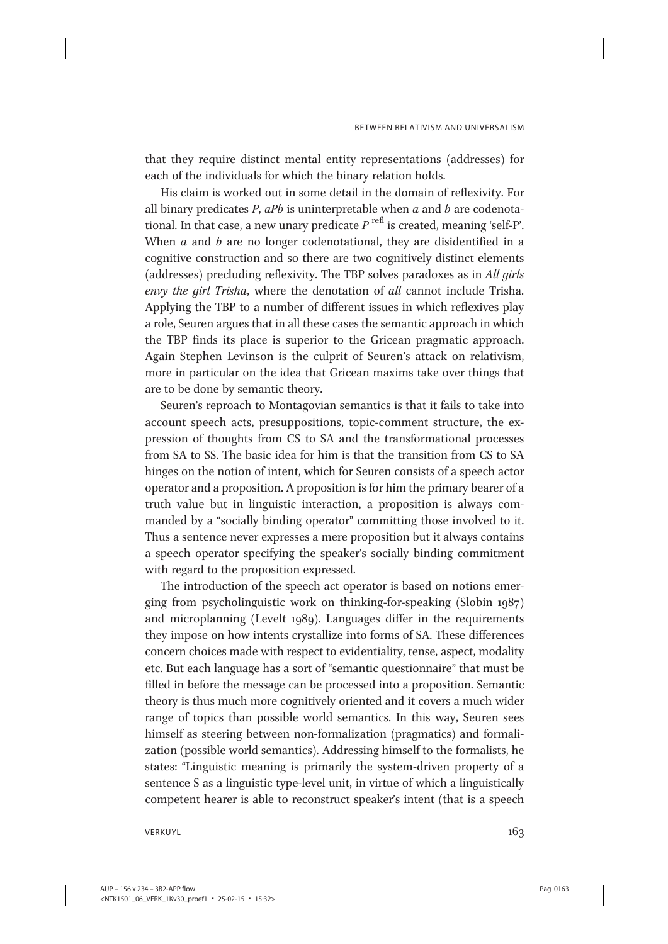that they require distinct mental entity representations (addresses) for each of the individuals for which the binary relation holds.

His claim is worked out in some detail in the domain of reflexivity. For all binary predicates  $P$ ,  $aPb$  is uninterpretable when  $a$  and  $b$  are codenotational. In that case, a new unary predicate  $P^{\text{refl}}$  is created, meaning 'self-P'. When  $a$  and  $b$  are no longer codenotational, they are disidentified in a cognitive construction and so there are two cognitively distinct elements (addresses) precluding reflexivity. The TBP solves paradoxes as in All girls envy the girl Trisha, where the denotation of all cannot include Trisha. Applying the TBP to a number of different issues in which reflexives play a role, Seuren argues that in all these cases the semantic approach in which the TBP finds its place is superior to the Gricean pragmatic approach. Again Stephen Levinson is the culprit of Seuren's attack on relativism, more in particular on the idea that Gricean maxims take over things that are to be done by semantic theory.

Seuren's reproach to Montagovian semantics is that it fails to take into account speech acts, presuppositions, topic-comment structure, the expression of thoughts from CS to SA and the transformational processes from SA to SS. The basic idea for him is that the transition from CS to SA hinges on the notion of intent, which for Seuren consists of a speech actor operator and a proposition. A proposition is for him the primary bearer of a truth value but in linguistic interaction, a proposition is always commanded by a "socially binding operator" committing those involved to it. Thus a sentence never expresses a mere proposition but it always contains a speech operator specifying the speaker's socially binding commitment with regard to the proposition expressed.

The introduction of the speech act operator is based on notions emerging from psycholinguistic work on thinking-for-speaking (Slobin 1987) and microplanning (Levelt 1989). Languages differ in the requirements they impose on how intents crystallize into forms of SA. These differences concern choices made with respect to evidentiality, tense, aspect, modality etc. But each language has a sort of "semantic questionnaire" that must be filled in before the message can be processed into a proposition. Semantic theory is thus much more cognitively oriented and it covers a much wider range of topics than possible world semantics. In this way, Seuren sees himself as steering between non-formalization (pragmatics) and formalization (possible world semantics). Addressing himself to the formalists, he states: "Linguistic meaning is primarily the system-driven property of a sentence S as a linguistic type-level unit, in virtue of which a linguistically competent hearer is able to reconstruct speaker's intent (that is a speech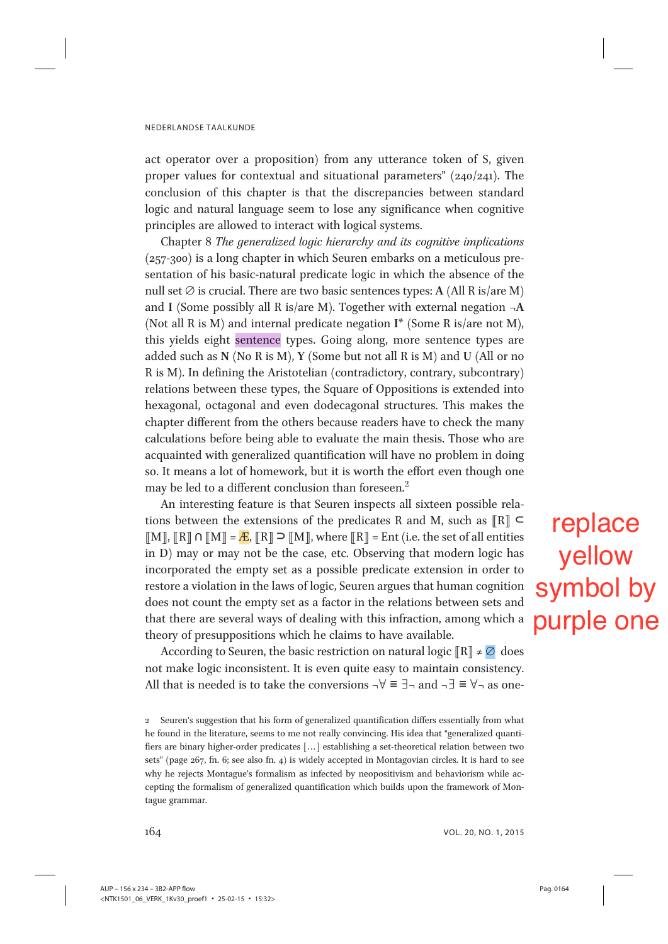act operator over a proposition) from any utterance token of S, given proper values for contextual and situational parameters" (240/241). The conclusion of this chapter is that the discrepancies between standard logic and natural language seem to lose any significance when cognitive principles are allowed to interact with logical systems.

Chapter 8 The generalized logic hierarchy and its cognitive implications (257-300) is a long chapter in which Seuren embarks on a meticulous presentation of his basic-natural predicate logic in which the absence of the null set  $\emptyset$  is crucial. There are two basic sentences types: A (All R is/are M) and I (Some possibly all R is/are M). Together with external negation  $\neg A$ (Not all R is M) and internal predicate negation I\* (Some R is/are not M), this yields eight sentence types. Going along, more sentence types are added such as N (No R is M), Y (Some but not all R is M) and U (All or no R is M). In defining the Aristotelian (contradictory, contrary, subcontrary) relations between these types, the Square of Oppositions is extended into hexagonal, octagonal and even dodecagonal structures. This makes the chapter different from the others because readers have to check the many calculations before being able to evaluate the main thesis. Those who are acquainted with generalized quantification will have no problem in doing so. It means a lot of homework, but it is worth the effort even though one may be led to a different conclusion than foreseen.<sup>2</sup>

An interesting feature is that Seuren inspects all sixteen possible relations between the extensions of the predicates R and M, such as  $\left[\mathbb{R}\right]$  ⊂  $\llbracket M \rrbracket$ ,  $\llbracket R \rrbracket \cap \llbracket M \rrbracket = \mathbb{E} M \rrbracket$ , where  $\llbracket R \rrbracket = \text{Ent}$  (i.e. the set of all entities in D) may or may not be the case, etc. Observing that modern logic has incorporated the empty set as a possible predicate extension in order to restore a violation in the laws of logic, Seuren argues that human cognition does not count the empty set as a factor in the relations between sets and that there are several ways of dealing with this infraction, among which a theory of presuppositions which he claims to have available.

According to Seuren, the basic restriction on natural logic  $\left[\mathbb{R}\right] \neq \emptyset$  does not make logic inconsistent. It is even quite easy to maintain consistency. All that is needed is to take the conversions  $\neg \forall \equiv \exists \neg$  and  $\neg \exists \equiv \forall \neg$  as one-

replace yellow symbol by purple one

<sup>2</sup> Seuren's suggestion that his form of generalized quantification differs essentially from what he found in the literature, seems to me not really convincing. His idea that "generalized quantifiers are binary higher-order predicates [...] establishing a set-theoretical relation between two sets" (page 267, fn. 6; see also fn. 4) is widely accepted in Montagovian circles. It is hard to see why he rejects Montague's formalism as infected by neopositivism and behaviorism while accepting the formalism of generalized quantification which builds upon the framework of Montague grammar.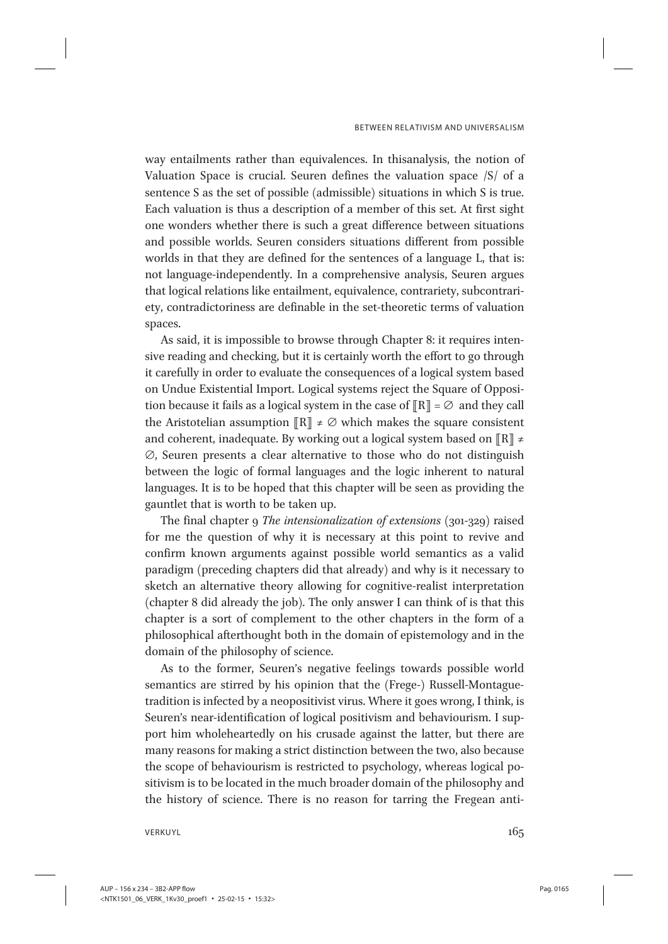way entailments rather than equivalences. In thisanalysis, the notion of Valuation Space is crucial. Seuren defines the valuation space /S/ of a sentence S as the set of possible (admissible) situations in which S is true. Each valuation is thus a description of a member of this set. At first sight one wonders whether there is such a great difference between situations and possible worlds. Seuren considers situations different from possible worlds in that they are defined for the sentences of a language L, that is: not language-independently. In a comprehensive analysis, Seuren argues that logical relations like entailment, equivalence, contrariety, subcontrariety, contradictoriness are definable in the set-theoretic terms of valuation spaces.

As said, it is impossible to browse through Chapter 8: it requires intensive reading and checking, but it is certainly worth the effort to go through it carefully in order to evaluate the consequences of a logical system based on Undue Existential Import. Logical systems reject the Square of Opposition because it fails as a logical system in the case of  $\llbracket R \rrbracket = \emptyset$  and they call the Aristotelian assumption  $\left[\mathbb{R}\right] \neq \emptyset$  which makes the square consistent and coherent, inadequate. By working out a logical system based on  $\left[\mathbb{R}\right]$  ≠ ∅, Seuren presents a clear alternative to those who do not distinguish between the logic of formal languages and the logic inherent to natural languages. It is to be hoped that this chapter will be seen as providing the gauntlet that is worth to be taken up.

The final chapter 9 The intensionalization of extensions (301-329) raised for me the question of why it is necessary at this point to revive and confirm known arguments against possible world semantics as a valid paradigm (preceding chapters did that already) and why is it necessary to sketch an alternative theory allowing for cognitive-realist interpretation (chapter 8 did already the job). The only answer I can think of is that this chapter is a sort of complement to the other chapters in the form of a philosophical afterthought both in the domain of epistemology and in the domain of the philosophy of science.

As to the former, Seuren's negative feelings towards possible world semantics are stirred by his opinion that the (Frege-) Russell-Montaguetradition is infected by a neopositivist virus. Where it goes wrong, I think, is Seuren's near-identification of logical positivism and behaviourism. I support him wholeheartedly on his crusade against the latter, but there are many reasons for making a strict distinction between the two, also because the scope of behaviourism is restricted to psychology, whereas logical positivism is to be located in the much broader domain of the philosophy and the history of science. There is no reason for tarring the Fregean anti-

VERKUYL $\qquad \qquad \qquad 165$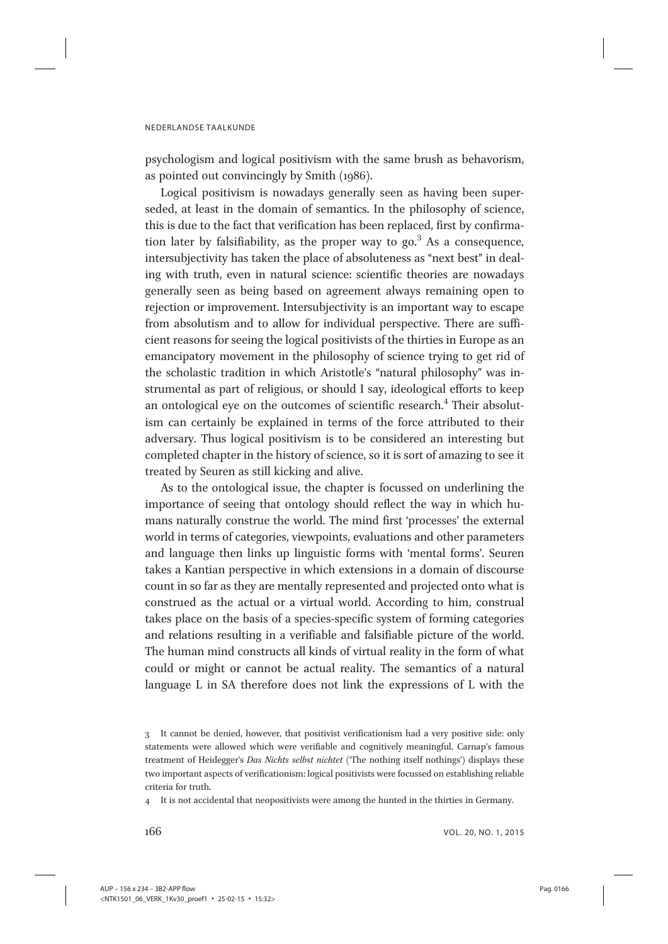psychologism and logical positivism with the same brush as behavorism, as pointed out convincingly by Smith (1986).

Logical positivism is nowadays generally seen as having been superseded, at least in the domain of semantics. In the philosophy of science, this is due to the fact that verification has been replaced, first by confirmation later by falsifiability, as the proper way to  $\text{go.}^3$  As a consequence, intersubjectivity has taken the place of absoluteness as "next best" in dealing with truth, even in natural science: scientific theories are nowadays generally seen as being based on agreement always remaining open to rejection or improvement. Intersubjectivity is an important way to escape from absolutism and to allow for individual perspective. There are sufficient reasons for seeing the logical positivists of the thirties in Europe as an emancipatory movement in the philosophy of science trying to get rid of the scholastic tradition in which Aristotle's "natural philosophy" was instrumental as part of religious, or should I say, ideological efforts to keep an ontological eye on the outcomes of scientific research.<sup>4</sup> Their absolutism can certainly be explained in terms of the force attributed to their adversary. Thus logical positivism is to be considered an interesting but completed chapter in the history of science, so it is sort of amazing to see it treated by Seuren as still kicking and alive.

As to the ontological issue, the chapter is focussed on underlining the importance of seeing that ontology should reflect the way in which humans naturally construe the world. The mind first 'processes' the external world in terms of categories, viewpoints, evaluations and other parameters and language then links up linguistic forms with 'mental forms'. Seuren takes a Kantian perspective in which extensions in a domain of discourse count in so far as they are mentally represented and projected onto what is construed as the actual or a virtual world. According to him, construal takes place on the basis of a species-specific system of forming categories and relations resulting in a verifiable and falsifiable picture of the world. The human mind constructs all kinds of virtual reality in the form of what could or might or cannot be actual reality. The semantics of a natural language L in SA therefore does not link the expressions of L with the

<sup>3</sup> It cannot be denied, however, that positivist verificationism had a very positive side: only statements were allowed which were verifiable and cognitively meaningful. Carnap's famous treatment of Heidegger's Das Nichts selbst nichtet ('The nothing itself nothings') displays these two important aspects of verificationism: logical positivists were focussed on establishing reliable criteria for truth.

It is not accidental that neopositivists were among the hunted in the thirties in Germany.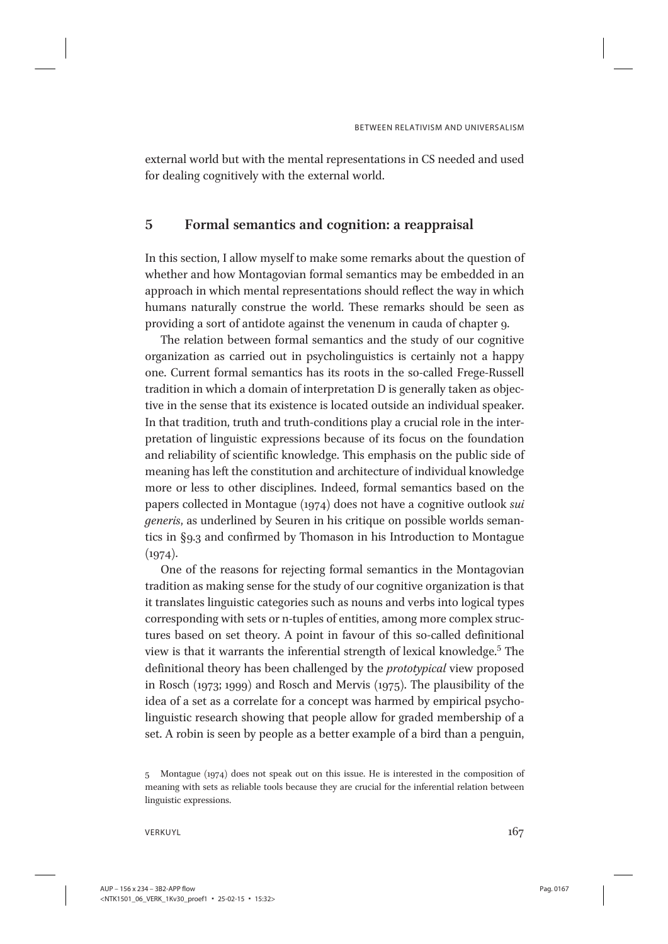external world but with the mental representations in CS needed and used for dealing cognitively with the external world.

# 5 Formal semantics and cognition: a reappraisal

In this section, I allow myself to make some remarks about the question of whether and how Montagovian formal semantics may be embedded in an approach in which mental representations should reflect the way in which humans naturally construe the world. These remarks should be seen as providing a sort of antidote against the venenum in cauda of chapter 9.

The relation between formal semantics and the study of our cognitive organization as carried out in psycholinguistics is certainly not a happy one. Current formal semantics has its roots in the so-called Frege-Russell tradition in which a domain of interpretation D is generally taken as objective in the sense that its existence is located outside an individual speaker. In that tradition, truth and truth-conditions play a crucial role in the interpretation of linguistic expressions because of its focus on the foundation and reliability of scientific knowledge. This emphasis on the public side of meaning has left the constitution and architecture of individual knowledge more or less to other disciplines. Indeed, formal semantics based on the papers collected in Montague (1974) does not have a cognitive outlook sui generis, as underlined by Seuren in his critique on possible worlds semantics in §9.3 and confirmed by Thomason in his Introduction to Montague  $(1974).$ 

One of the reasons for rejecting formal semantics in the Montagovian tradition as making sense for the study of our cognitive organization is that it translates linguistic categories such as nouns and verbs into logical types corresponding with sets or n-tuples of entities, among more complex structures based on set theory. A point in favour of this so-called definitional view is that it warrants the inferential strength of lexical knowledge.<sup>5</sup> The definitional theory has been challenged by the prototypical view proposed in Rosch (1973; 1999) and Rosch and Mervis (1975). The plausibility of the idea of a set as a correlate for a concept was harmed by empirical psycholinguistic research showing that people allow for graded membership of a set. A robin is seen by people as a better example of a bird than a penguin,

<sup>5</sup> Montague (1974) does not speak out on this issue. He is interested in the composition of meaning with sets as reliable tools because they are crucial for the inferential relation between linguistic expressions.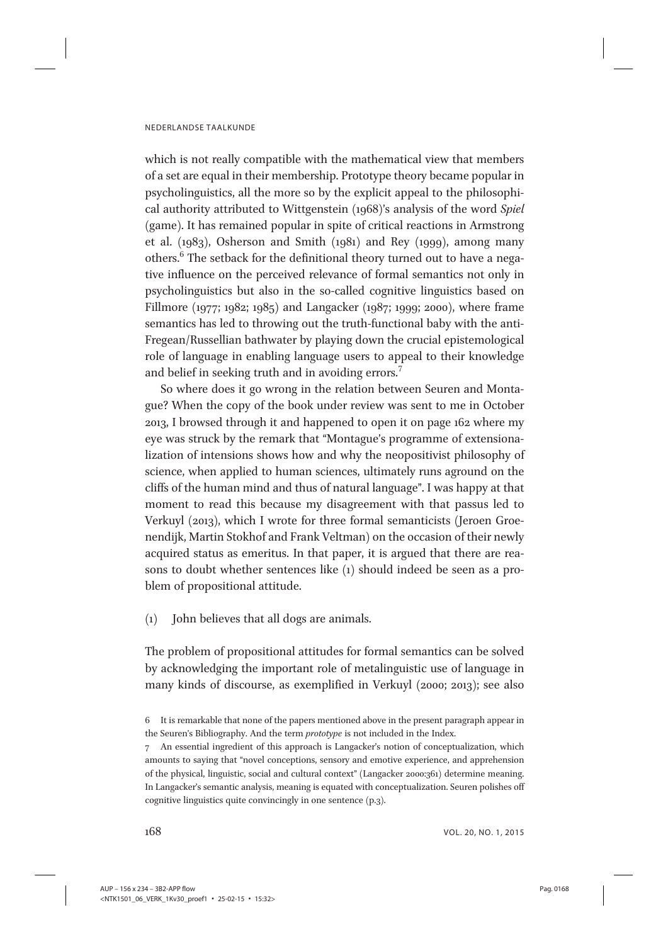which is not really compatible with the mathematical view that members of a set are equal in their membership. Prototype theory became popular in psycholinguistics, all the more so by the explicit appeal to the philosophical authority attributed to Wittgenstein (1968)'s analysis of the word Spiel (game). It has remained popular in spite of critical reactions in Armstrong et al. (1983), Osherson and Smith (1981) and Rey (1999), among many others.<sup>6</sup> The setback for the definitional theory turned out to have a negative influence on the perceived relevance of formal semantics not only in psycholinguistics but also in the so-called cognitive linguistics based on Fillmore (1977; 1982; 1985) and Langacker (1987; 1999; 2000), where frame semantics has led to throwing out the truth-functional baby with the anti-Fregean/Russellian bathwater by playing down the crucial epistemological role of language in enabling language users to appeal to their knowledge and belief in seeking truth and in avoiding errors.<sup>7</sup>

So where does it go wrong in the relation between Seuren and Montague? When the copy of the book under review was sent to me in October 2013, I browsed through it and happened to open it on page 162 where my eye was struck by the remark that "Montague's programme of extensionalization of intensions shows how and why the neopositivist philosophy of science, when applied to human sciences, ultimately runs aground on the cliffs of the human mind and thus of natural language". I was happy at that moment to read this because my disagreement with that passus led to Verkuyl (2013), which I wrote for three formal semanticists (Jeroen Groenendijk, Martin Stokhof and Frank Veltman) on the occasion of their newly acquired status as emeritus. In that paper, it is argued that there are reasons to doubt whether sentences like (1) should indeed be seen as a problem of propositional attitude.

(1) John believes that all dogs are animals.

The problem of propositional attitudes for formal semantics can be solved by acknowledging the important role of metalinguistic use of language in many kinds of discourse, as exemplified in Verkuyl (2000; 2013); see also

<sup>6</sup> It is remarkable that none of the papers mentioned above in the present paragraph appear in the Seuren's Bibliography. And the term prototype is not included in the Index.

<sup>7</sup> An essential ingredient of this approach is Langacker's notion of conceptualization, which amounts to saying that "novel conceptions, sensory and emotive experience, and apprehension of the physical, linguistic, social and cultural context" (Langacker 2000:361) determine meaning. In Langacker's semantic analysis, meaning is equated with conceptualization. Seuren polishes off cognitive linguistics quite convincingly in one sentence (p.3).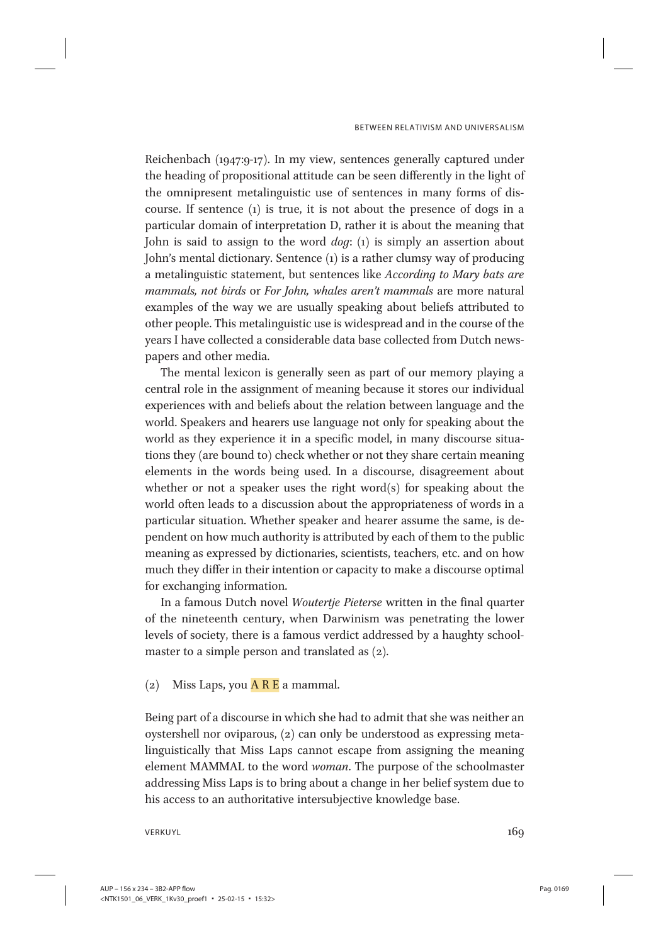Reichenbach (1947:9-17). In my view, sentences generally captured under the heading of propositional attitude can be seen differently in the light of the omnipresent metalinguistic use of sentences in many forms of discourse. If sentence (1) is true, it is not about the presence of dogs in a particular domain of interpretation D, rather it is about the meaning that John is said to assign to the word dog: (1) is simply an assertion about John's mental dictionary. Sentence (1) is a rather clumsy way of producing a metalinguistic statement, but sentences like According to Mary bats are mammals, not birds or For John, whales aren't mammals are more natural examples of the way we are usually speaking about beliefs attributed to other people. This metalinguistic use is widespread and in the course of the years I have collected a considerable data base collected from Dutch newspapers and other media.

The mental lexicon is generally seen as part of our memory playing a central role in the assignment of meaning because it stores our individual experiences with and beliefs about the relation between language and the world. Speakers and hearers use language not only for speaking about the world as they experience it in a specific model, in many discourse situations they (are bound to) check whether or not they share certain meaning elements in the words being used. In a discourse, disagreement about whether or not a speaker uses the right word(s) for speaking about the world often leads to a discussion about the appropriateness of words in a particular situation. Whether speaker and hearer assume the same, is dependent on how much authority is attributed by each of them to the public meaning as expressed by dictionaries, scientists, teachers, etc. and on how much they differ in their intention or capacity to make a discourse optimal for exchanging information.

In a famous Dutch novel Woutertje Pieterse written in the final quarter of the nineteenth century, when Darwinism was penetrating the lower levels of society, there is a famous verdict addressed by a haughty schoolmaster to a simple person and translated as (2).

(2) Miss Laps, you  $\overline{A} \overline{R} \overline{E}$  a mammal.

Being part of a discourse in which she had to admit that she was neither an oystershell nor oviparous, (2) can only be understood as expressing metalinguistically that Miss Laps cannot escape from assigning the meaning element MAMMAL to the word woman. The purpose of the schoolmaster addressing Miss Laps is to bring about a change in her belief system due to his access to an authoritative intersubjective knowledge base.

 $\sqrt{169}$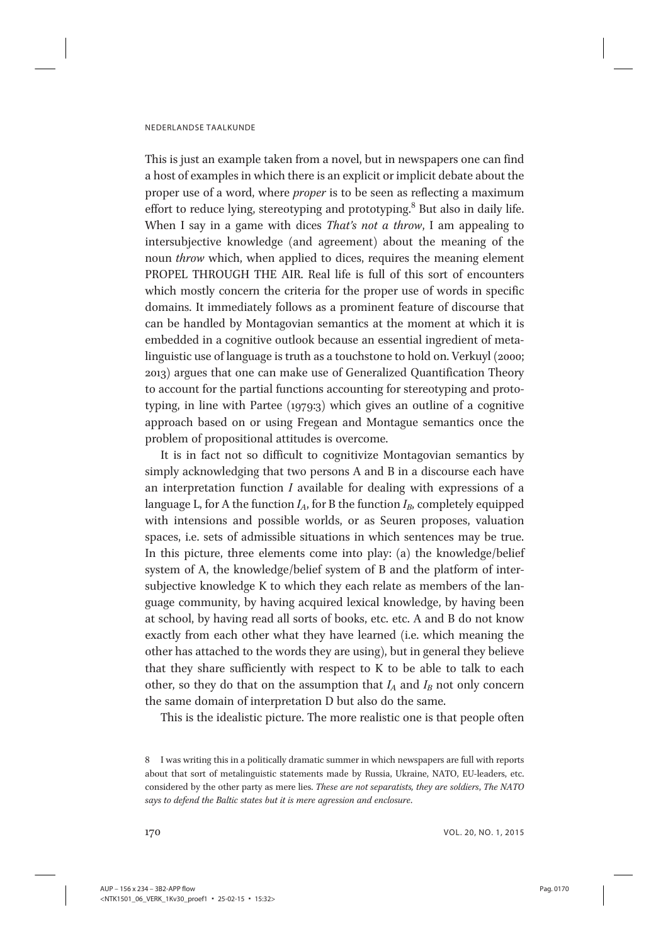This is just an example taken from a novel, but in newspapers one can find a host of examples in which there is an explicit or implicit debate about the proper use of a word, where proper is to be seen as reflecting a maximum effort to reduce lying, stereotyping and prototyping.<sup>8</sup> But also in daily life. When I say in a game with dices *That's not a throw*, I am appealing to intersubjective knowledge (and agreement) about the meaning of the noun throw which, when applied to dices, requires the meaning element PROPEL THROUGH THE AIR. Real life is full of this sort of encounters which mostly concern the criteria for the proper use of words in specific domains. It immediately follows as a prominent feature of discourse that can be handled by Montagovian semantics at the moment at which it is embedded in a cognitive outlook because an essential ingredient of metalinguistic use of language is truth as a touchstone to hold on. Verkuyl (2000; 2013) argues that one can make use of Generalized Quantification Theory to account for the partial functions accounting for stereotyping and prototyping, in line with Partee (1979:3) which gives an outline of a cognitive approach based on or using Fregean and Montague semantics once the problem of propositional attitudes is overcome.

It is in fact not so difficult to cognitivize Montagovian semantics by simply acknowledging that two persons A and B in a discourse each have an interpretation function I available for dealing with expressions of a language L, for A the function  $I_A$ , for B the function  $I_B$ , completely equipped with intensions and possible worlds, or as Seuren proposes, valuation spaces, i.e. sets of admissible situations in which sentences may be true. In this picture, three elements come into play: (a) the knowledge/belief system of A, the knowledge/belief system of B and the platform of intersubjective knowledge K to which they each relate as members of the language community, by having acquired lexical knowledge, by having been at school, by having read all sorts of books, etc. etc. A and B do not know exactly from each other what they have learned (i.e. which meaning the other has attached to the words they are using), but in general they believe that they share sufficiently with respect to K to be able to talk to each other, so they do that on the assumption that  $I_A$  and  $I_B$  not only concern the same domain of interpretation D but also do the same.

This is the idealistic picture. The more realistic one is that people often

<sup>8</sup> I was writing this in a politically dramatic summer in which newspapers are full with reports about that sort of metalinguistic statements made by Russia, Ukraine, NATO, EU-leaders, etc. considered by the other party as mere lies. These are not separatists, they are soldiers, The NATO says to defend the Baltic states but it is mere agression and enclosure.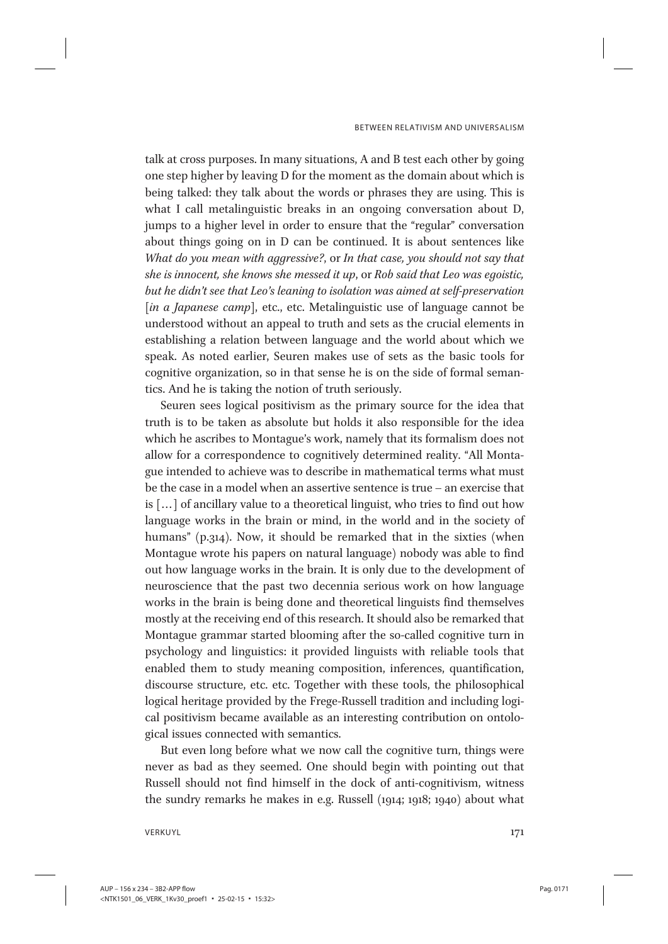talk at cross purposes. In many situations, A and B test each other by going one step higher by leaving D for the moment as the domain about which is being talked: they talk about the words or phrases they are using. This is what I call metalinguistic breaks in an ongoing conversation about D, jumps to a higher level in order to ensure that the "regular" conversation about things going on in D can be continued. It is about sentences like What do you mean with aggressive?, or In that case, you should not say that she is innocent, she knows she messed it up, or Rob said that Leo was egoistic, but he didn't see that Leo's leaning to isolation was aimed at self-preservation [in a Japanese camp], etc., etc. Metalinguistic use of language cannot be understood without an appeal to truth and sets as the crucial elements in establishing a relation between language and the world about which we speak. As noted earlier, Seuren makes use of sets as the basic tools for cognitive organization, so in that sense he is on the side of formal semantics. And he is taking the notion of truth seriously.

Seuren sees logical positivism as the primary source for the idea that truth is to be taken as absolute but holds it also responsible for the idea which he ascribes to Montague's work, namely that its formalism does not allow for a correspondence to cognitively determined reality. "All Montague intended to achieve was to describe in mathematical terms what must be the case in a model when an assertive sentence is true – an exercise that is [...] of ancillary value to a theoretical linguist, who tries to find out how language works in the brain or mind, in the world and in the society of humans" (p.314). Now, it should be remarked that in the sixties (when Montague wrote his papers on natural language) nobody was able to find out how language works in the brain. It is only due to the development of neuroscience that the past two decennia serious work on how language works in the brain is being done and theoretical linguists find themselves mostly at the receiving end of this research. It should also be remarked that Montague grammar started blooming after the so-called cognitive turn in psychology and linguistics: it provided linguists with reliable tools that enabled them to study meaning composition, inferences, quantification, discourse structure, etc. etc. Together with these tools, the philosophical logical heritage provided by the Frege-Russell tradition and including logical positivism became available as an interesting contribution on ontological issues connected with semantics.

But even long before what we now call the cognitive turn, things were never as bad as they seemed. One should begin with pointing out that Russell should not find himself in the dock of anti-cognitivism, witness the sundry remarks he makes in e.g. Russell (1914; 1918; 1940) about what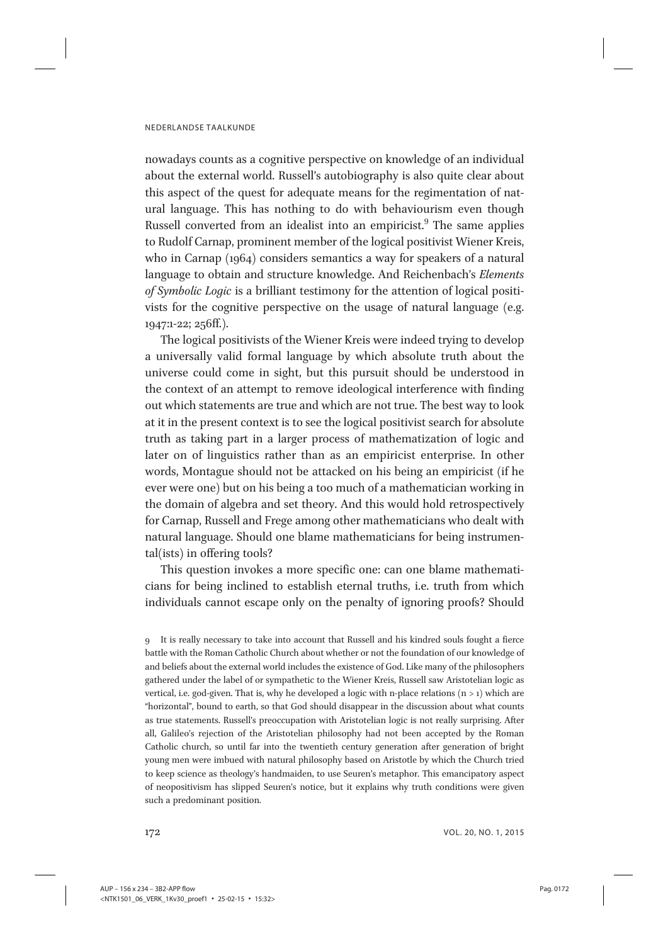nowadays counts as a cognitive perspective on knowledge of an individual about the external world. Russell's autobiography is also quite clear about this aspect of the quest for adequate means for the regimentation of natural language. This has nothing to do with behaviourism even though Russell converted from an idealist into an empiricist. $9$  The same applies to Rudolf Carnap, prominent member of the logical positivist Wiener Kreis, who in Carnap (1964) considers semantics a way for speakers of a natural language to obtain and structure knowledge. And Reichenbach's Elements of Symbolic Logic is a brilliant testimony for the attention of logical positivists for the cognitive perspective on the usage of natural language (e.g. 1947:1-22; 256ff.).

The logical positivists of the Wiener Kreis were indeed trying to develop a universally valid formal language by which absolute truth about the universe could come in sight, but this pursuit should be understood in the context of an attempt to remove ideological interference with finding out which statements are true and which are not true. The best way to look at it in the present context is to see the logical positivist search for absolute truth as taking part in a larger process of mathematization of logic and later on of linguistics rather than as an empiricist enterprise. In other words, Montague should not be attacked on his being an empiricist (if he ever were one) but on his being a too much of a mathematician working in the domain of algebra and set theory. And this would hold retrospectively for Carnap, Russell and Frege among other mathematicians who dealt with natural language. Should one blame mathematicians for being instrumental(ists) in offering tools?

This question invokes a more specific one: can one blame mathematicians for being inclined to establish eternal truths, i.e. truth from which individuals cannot escape only on the penalty of ignoring proofs? Should

<sup>9</sup> It is really necessary to take into account that Russell and his kindred souls fought a fierce battle with the Roman Catholic Church about whether or not the foundation of our knowledge of and beliefs about the external world includes the existence of God. Like many of the philosophers gathered under the label of or sympathetic to the Wiener Kreis, Russell saw Aristotelian logic as vertical, i.e. god-given. That is, why he developed a logic with n-place relations  $(n > 1)$  which are "horizontal", bound to earth, so that God should disappear in the discussion about what counts as true statements. Russell's preoccupation with Aristotelian logic is not really surprising. After all, Galileo's rejection of the Aristotelian philosophy had not been accepted by the Roman Catholic church, so until far into the twentieth century generation after generation of bright young men were imbued with natural philosophy based on Aristotle by which the Church tried to keep science as theology's handmaiden, to use Seuren's metaphor. This emancipatory aspect of neopositivism has slipped Seuren's notice, but it explains why truth conditions were given such a predominant position.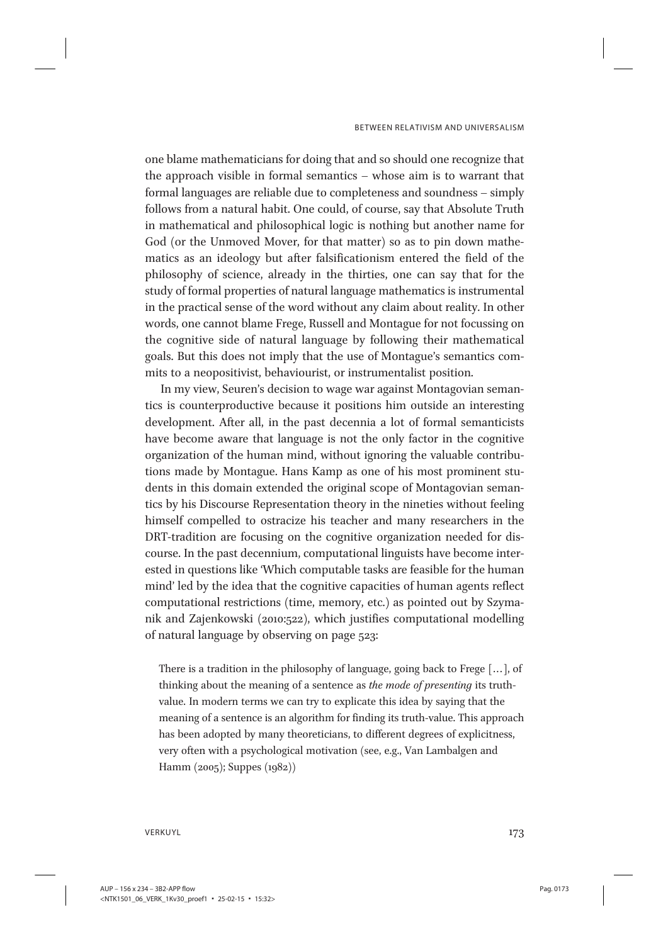one blame mathematicians for doing that and so should one recognize that the approach visible in formal semantics – whose aim is to warrant that formal languages are reliable due to completeness and soundness – simply follows from a natural habit. One could, of course, say that Absolute Truth in mathematical and philosophical logic is nothing but another name for God (or the Unmoved Mover, for that matter) so as to pin down mathematics as an ideology but after falsificationism entered the field of the philosophy of science, already in the thirties, one can say that for the study of formal properties of natural language mathematics is instrumental in the practical sense of the word without any claim about reality. In other words, one cannot blame Frege, Russell and Montague for not focussing on the cognitive side of natural language by following their mathematical goals. But this does not imply that the use of Montague's semantics commits to a neopositivist, behaviourist, or instrumentalist position.

In my view, Seuren's decision to wage war against Montagovian semantics is counterproductive because it positions him outside an interesting development. After all, in the past decennia a lot of formal semanticists have become aware that language is not the only factor in the cognitive organization of the human mind, without ignoring the valuable contributions made by Montague. Hans Kamp as one of his most prominent students in this domain extended the original scope of Montagovian semantics by his Discourse Representation theory in the nineties without feeling himself compelled to ostracize his teacher and many researchers in the DRT-tradition are focusing on the cognitive organization needed for discourse. In the past decennium, computational linguists have become interested in questions like 'Which computable tasks are feasible for the human mind' led by the idea that the cognitive capacities of human agents reflect computational restrictions (time, memory, etc.) as pointed out by Szymanik and Zajenkowski (2010:522), which justifies computational modelling of natural language by observing on page 523:

There is a tradition in the philosophy of language, going back to Frege [... ], of thinking about the meaning of a sentence as the mode of presenting its truthvalue. In modern terms we can try to explicate this idea by saying that the meaning of a sentence is an algorithm for finding its truth-value. This approach has been adopted by many theoreticians, to different degrees of explicitness, very often with a psychological motivation (see, e.g., Van Lambalgen and Hamm (2005); Suppes (1982))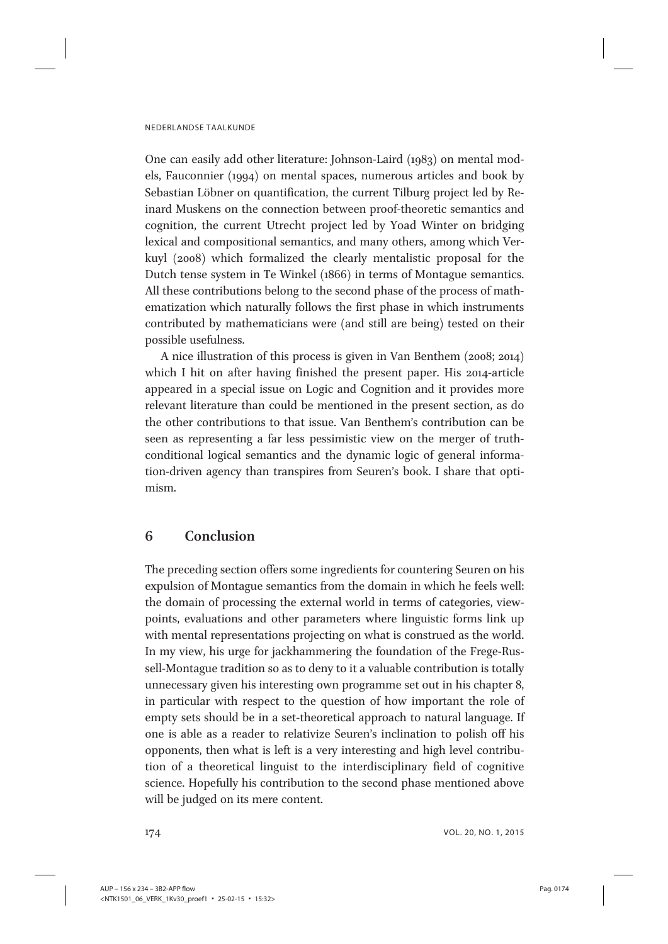One can easily add other literature: Johnson-Laird (1983) on mental models, Fauconnier (1994) on mental spaces, numerous articles and book by Sebastian Löbner on quantification, the current Tilburg project led by Reinard Muskens on the connection between proof-theoretic semantics and cognition, the current Utrecht project led by Yoad Winter on bridging lexical and compositional semantics, and many others, among which Verkuyl (2008) which formalized the clearly mentalistic proposal for the Dutch tense system in Te Winkel (1866) in terms of Montague semantics. All these contributions belong to the second phase of the process of mathematization which naturally follows the first phase in which instruments contributed by mathematicians were (and still are being) tested on their possible usefulness.

A nice illustration of this process is given in Van Benthem (2008; 2014) which I hit on after having finished the present paper. His 2014-article appeared in a special issue on Logic and Cognition and it provides more relevant literature than could be mentioned in the present section, as do the other contributions to that issue. Van Benthem's contribution can be seen as representing a far less pessimistic view on the merger of truthconditional logical semantics and the dynamic logic of general information-driven agency than transpires from Seuren's book. I share that optimism.

# 6 Conclusion

The preceding section offers some ingredients for countering Seuren on his expulsion of Montague semantics from the domain in which he feels well: the domain of processing the external world in terms of categories, viewpoints, evaluations and other parameters where linguistic forms link up with mental representations projecting on what is construed as the world. In my view, his urge for jackhammering the foundation of the Frege-Russell-Montague tradition so as to deny to it a valuable contribution is totally unnecessary given his interesting own programme set out in his chapter 8, in particular with respect to the question of how important the role of empty sets should be in a set-theoretical approach to natural language. If one is able as a reader to relativize Seuren's inclination to polish off his opponents, then what is left is a very interesting and high level contribution of a theoretical linguist to the interdisciplinary field of cognitive science. Hopefully his contribution to the second phase mentioned above will be judged on its mere content.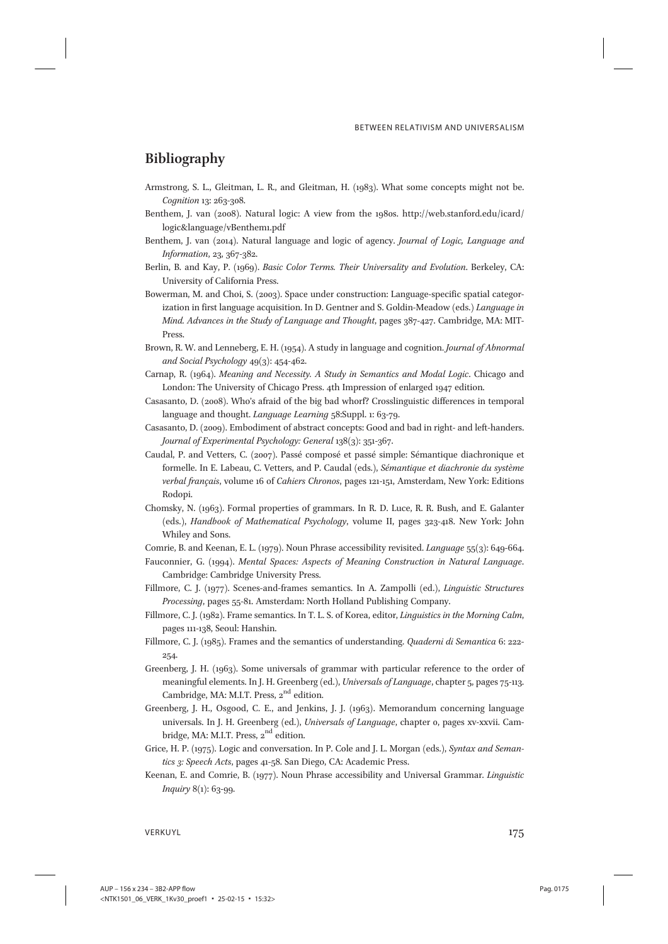# Bibliography

- Armstrong, S. L., Gleitman, L. R., and Gleitman, H. (1983). What some concepts might not be. Cognition 13: 263-308.
- Benthem, J. van (2008). Natural logic: A view from the 1980s. http://web.stanford.edu/icard/ logic&language/vBenthem1.pdf
- Benthem, J. van (2014). Natural language and logic of agency. Journal of Logic, Language and Information, 23, 367-382.
- Berlin, B. and Kay, P. (1969). Basic Color Terms. Their Universality and Evolution. Berkeley, CA: University of California Press.
- Bowerman, M. and Choi, S. (2003). Space under construction: Language-specific spatial categorization in first language acquisition. In D. Gentner and S. Goldin-Meadow (eds.) Language in Mind. Advances in the Study of Language and Thought, pages 387-427. Cambridge, MA: MIT-Press.
- Brown, R. W. and Lenneberg, E. H. (1954). A study in language and cognition. Journal of Abnormal and Social Psychology 49(3): 454-462.
- Carnap, R. (1964). Meaning and Necessity. A Study in Semantics and Modal Logic. Chicago and London: The University of Chicago Press. 4th Impression of enlarged 1947 edition.
- Casasanto, D. (2008). Who's afraid of the big bad whorf? Crosslinguistic differences in temporal language and thought. Language Learning 58:Suppl. 1: 63-79.
- Casasanto, D. (2009). Embodiment of abstract concepts: Good and bad in right- and left-handers. Journal of Experimental Psychology: General 138(3): 351-367.
- Caudal, P. and Vetters, C. (2007). Passé composé et passé simple: Sémantique diachronique et formelle. In E. Labeau, C. Vetters, and P. Caudal (eds.), Sémantique et diachronie du système verbal français, volume 16 of Cahiers Chronos, pages 121-151, Amsterdam, New York: Editions Rodopi.
- Chomsky, N. (1963). Formal properties of grammars. In R. D. Luce, R. R. Bush, and E. Galanter (eds.), Handbook of Mathematical Psychology, volume II, pages 323-418. New York: John Whiley and Sons.
- Comrie, B. and Keenan, E. L. (1979). Noun Phrase accessibility revisited. Language 55(3): 649-664.
- Fauconnier, G. (1994). Mental Spaces: Aspects of Meaning Construction in Natural Language. Cambridge: Cambridge University Press.
- Fillmore, C. J. (1977). Scenes-and-frames semantics. In A. Zampolli (ed.), Linguistic Structures Processing, pages 55-81. Amsterdam: North Holland Publishing Company.
- Fillmore, C. J. (1982). Frame semantics. In T. L. S. of Korea, editor, Linguistics in the Morning Calm, pages 111-138, Seoul: Hanshin.
- Fillmore, C. J. (1985). Frames and the semantics of understanding. Quaderni di Semantica 6: 222- 254.
- Greenberg, J. H. (1963). Some universals of grammar with particular reference to the order of meaningful elements. In J. H. Greenberg (ed.), Universals of Language, chapter 5, pages 75-113. Cambridge, MA: M.I.T. Press,  $2^{nd}$  edition.
- Greenberg, J. H., Osgood, C. E., and Jenkins, J. J. (1963). Memorandum concerning language universals. In J. H. Greenberg (ed.), Universals of Language, chapter 0, pages xv-xxvii. Cambridge, MA: M.I.T. Press, 2<sup>nd</sup> edition.
- Grice, H. P. (1975). Logic and conversation. In P. Cole and J. L. Morgan (eds.), Syntax and Semantics 3: Speech Acts, pages 41-58. San Diego, CA: Academic Press.
- Keenan, E. and Comrie, B. (1977). Noun Phrase accessibility and Universal Grammar. Linguistic Inquiry 8(1): 63-99.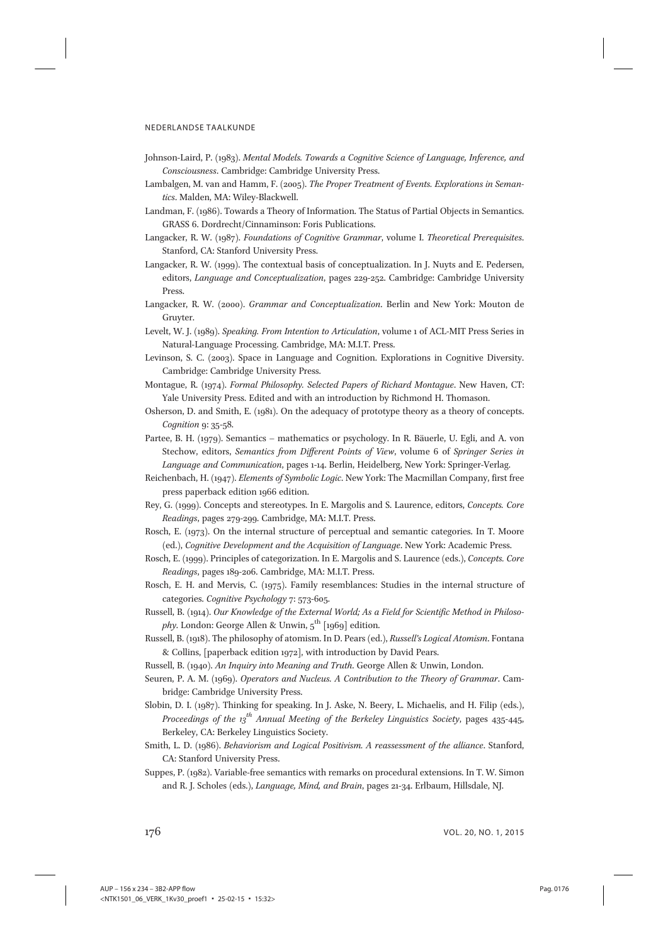- Johnson-Laird, P. (1983). Mental Models. Towards a Cognitive Science of Language, Inference, and Consciousness. Cambridge: Cambridge University Press.
- Lambalgen, M. van and Hamm, F. (2005). The Proper Treatment of Events. Explorations in Semantics. Malden, MA: Wiley-Blackwell.
- Landman, F. (1986). Towards a Theory of Information. The Status of Partial Objects in Semantics. GRASS 6. Dordrecht/Cinnaminson: Foris Publications.
- Langacker, R. W. (1987). Foundations of Cognitive Grammar, volume I. Theoretical Prerequisites. Stanford, CA: Stanford University Press.
- Langacker, R. W. (1999). The contextual basis of conceptualization. In J. Nuyts and E. Pedersen, editors, Language and Conceptualization, pages 229-252. Cambridge: Cambridge University Press.
- Langacker, R. W. (2000). Grammar and Conceptualization. Berlin and New York: Mouton de Gruyter.
- Levelt, W. J. (1989). Speaking. From Intention to Articulation, volume 1 of ACL-MIT Press Series in Natural-Language Processing. Cambridge, MA: M.I.T. Press.
- Levinson, S. C. (2003). Space in Language and Cognition. Explorations in Cognitive Diversity. Cambridge: Cambridge University Press.
- Montague, R. (1974). Formal Philosophy. Selected Papers of Richard Montague. New Haven, CT: Yale University Press. Edited and with an introduction by Richmond H. Thomason.
- Osherson, D. and Smith, E. (1981). On the adequacy of prototype theory as a theory of concepts. Cognition 9: 35-58.
- Partee, B. H. (1979). Semantics mathematics or psychology. In R. Bäuerle, U. Egli, and A. von Stechow, editors, Semantics from Different Points of View, volume 6 of Springer Series in Language and Communication, pages 1-14. Berlin, Heidelberg, New York: Springer-Verlag.
- Reichenbach, H. (1947). Elements of Symbolic Logic. New York: The Macmillan Company, first free press paperback edition 1966 edition.
- Rey, G. (1999). Concepts and stereotypes. In E. Margolis and S. Laurence, editors, Concepts. Core Readings, pages 279-299. Cambridge, MA: M.I.T. Press.
- Rosch, E. (1973). On the internal structure of perceptual and semantic categories. In T. Moore (ed.), Cognitive Development and the Acquisition of Language. New York: Academic Press.
- Rosch, E. (1999). Principles of categorization. In E. Margolis and S. Laurence (eds.), Concepts. Core Readings, pages 189-206. Cambridge, MA: M.I.T. Press.
- Rosch, E. H. and Mervis, C. (1975). Family resemblances: Studies in the internal structure of categories. Cognitive Psychology 7: 573-605.

Russell, B. (1914). Our Knowledge of the External World; As a Field for Scientific Method in Philoso*phy*. London: George Allen & Unwin,  $5^{\text{th}}$  [1969] edition.

Russell, B. (1918). The philosophy of atomism. In D. Pears (ed.), Russell's Logical Atomism. Fontana & Collins, [paperback edition 1972], with introduction by David Pears.

- Russell, B. (1940). An Inquiry into Meaning and Truth. George Allen & Unwin, London.
- Seuren, P. A. M. (1969). Operators and Nucleus. A Contribution to the Theory of Grammar. Cambridge: Cambridge University Press.
- Slobin, D. I. (1987). Thinking for speaking. In J. Aske, N. Beery, L. Michaelis, and H. Filip (eds.), Proceedings of the  $13^{th}$  Annual Meeting of the Berkeley Linguistics Society, pages 435-445, Berkeley, CA: Berkeley Linguistics Society.
- Smith, L. D. (1986). Behaviorism and Logical Positivism. A reassessment of the alliance. Stanford, CA: Stanford University Press.
- Suppes, P. (1982). Variable-free semantics with remarks on procedural extensions. In T. W. Simon and R. J. Scholes (eds.), Language, Mind, and Brain, pages 21-34. Erlbaum, Hillsdale, NJ.

176 vol. 20, No. 1, 2015